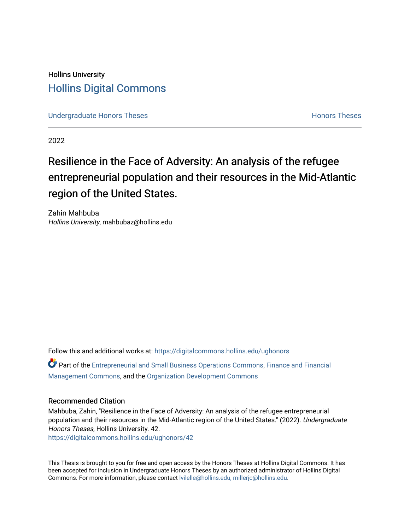## Hollins University [Hollins Digital Commons](https://digitalcommons.hollins.edu/)

[Undergraduate Honors Theses](https://digitalcommons.hollins.edu/ughonors) **Honors Theses Honors Theses Honors Theses** 

2022

# Resilience in the Face of Adversity: An analysis of the refugee entrepreneurial population and their resources in the Mid-Atlantic region of the United States.

Zahin Mahbuba Hollins University, mahbubaz@hollins.edu

Follow this and additional works at: [https://digitalcommons.hollins.edu/ughonors](https://digitalcommons.hollins.edu/ughonors?utm_source=digitalcommons.hollins.edu%2Fughonors%2F42&utm_medium=PDF&utm_campaign=PDFCoverPages)

Part of the [Entrepreneurial and Small Business Operations Commons,](https://network.bepress.com/hgg/discipline/630?utm_source=digitalcommons.hollins.edu%2Fughonors%2F42&utm_medium=PDF&utm_campaign=PDFCoverPages) [Finance and Financial](https://network.bepress.com/hgg/discipline/631?utm_source=digitalcommons.hollins.edu%2Fughonors%2F42&utm_medium=PDF&utm_campaign=PDFCoverPages) [Management Commons](https://network.bepress.com/hgg/discipline/631?utm_source=digitalcommons.hollins.edu%2Fughonors%2F42&utm_medium=PDF&utm_campaign=PDFCoverPages), and the [Organization Development Commons](https://network.bepress.com/hgg/discipline/1242?utm_source=digitalcommons.hollins.edu%2Fughonors%2F42&utm_medium=PDF&utm_campaign=PDFCoverPages) 

#### Recommended Citation

Mahbuba, Zahin, "Resilience in the Face of Adversity: An analysis of the refugee entrepreneurial population and their resources in the Mid-Atlantic region of the United States." (2022). Undergraduate Honors Theses, Hollins University. 42.

[https://digitalcommons.hollins.edu/ughonors/42](https://digitalcommons.hollins.edu/ughonors/42?utm_source=digitalcommons.hollins.edu%2Fughonors%2F42&utm_medium=PDF&utm_campaign=PDFCoverPages) 

This Thesis is brought to you for free and open access by the Honors Theses at Hollins Digital Commons. It has been accepted for inclusion in Undergraduate Honors Theses by an authorized administrator of Hollins Digital Commons. For more information, please contact [lvilelle@hollins.edu, millerjc@hollins.edu.](mailto:lvilelle@hollins.edu,%20millerjc@hollins.edu)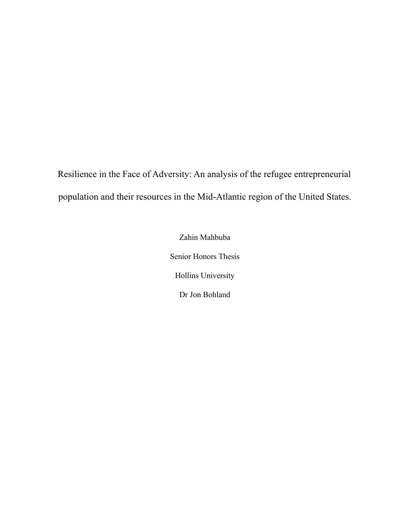Resilience in the Face of Adversity: An analysis of the refugee entrepreneurial population and their resources in the Mid-Atlantic region of the United States.

> Zahin Mahbuba Senior Honors Thesis Hollins University Dr Jon Bohland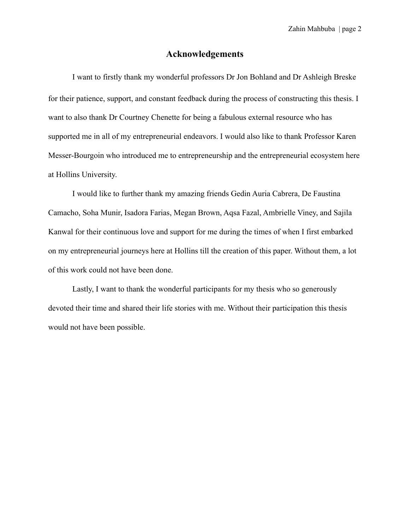## **Acknowledgements**

I want to firstly thank my wonderful professors Dr Jon Bohland and Dr Ashleigh Breske for their patience, support, and constant feedback during the process of constructing this thesis. I want to also thank Dr Courtney Chenette for being a fabulous external resource who has supported me in all of my entrepreneurial endeavors. I would also like to thank Professor Karen Messer-Bourgoin who introduced me to entrepreneurship and the entrepreneurial ecosystem here at Hollins University.

I would like to further thank my amazing friends Gedin Auria Cabrera, De Faustina Camacho, Soha Munir, Isadora Farias, Megan Brown, Aqsa Fazal, Ambrielle Viney, and Sajila Kanwal for their continuous love and support for me during the times of when I first embarked on my entrepreneurial journeys here at Hollins till the creation of this paper. Without them, a lot of this work could not have been done.

Lastly, I want to thank the wonderful participants for my thesis who so generously devoted their time and shared their life stories with me. Without their participation this thesis would not have been possible.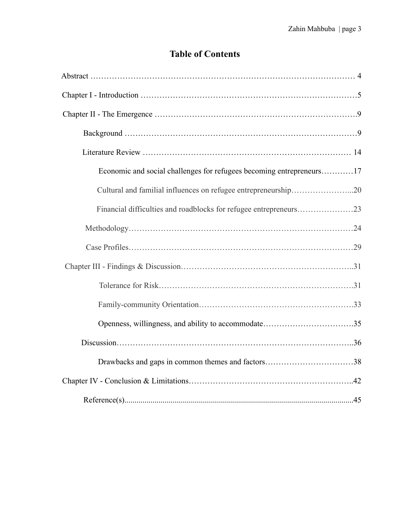## **Table of Contents**

| Economic and social challenges for refugees becoming entrepreneurs17 |
|----------------------------------------------------------------------|
| Cultural and familial influences on refugee entrepreneurship20       |
|                                                                      |
|                                                                      |
|                                                                      |
|                                                                      |
|                                                                      |
|                                                                      |
|                                                                      |
|                                                                      |
| Drawbacks and gaps in common themes and factors38                    |
|                                                                      |
|                                                                      |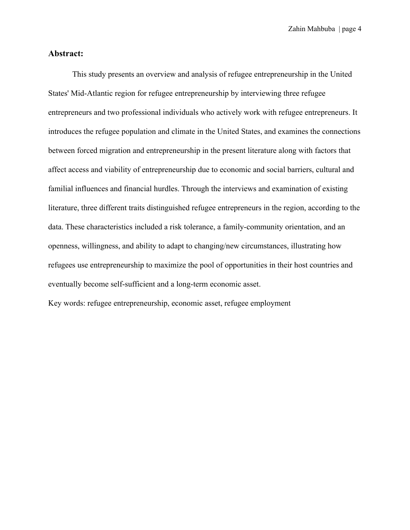## **Abstract:**

This study presents an overview and analysis of refugee entrepreneurship in the United States' Mid-Atlantic region for refugee entrepreneurship by interviewing three refugee entrepreneurs and two professional individuals who actively work with refugee entrepreneurs. It introduces the refugee population and climate in the United States, and examines the connections between forced migration and entrepreneurship in the present literature along with factors that affect access and viability of entrepreneurship due to economic and social barriers, cultural and familial influences and financial hurdles. Through the interviews and examination of existing literature, three different traits distinguished refugee entrepreneurs in the region, according to the data. These characteristics included a risk tolerance, a family-community orientation, and an openness, willingness, and ability to adapt to changing/new circumstances, illustrating how refugees use entrepreneurship to maximize the pool of opportunities in their host countries and eventually become self-sufficient and a long-term economic asset.

Key words: refugee entrepreneurship, economic asset, refugee employment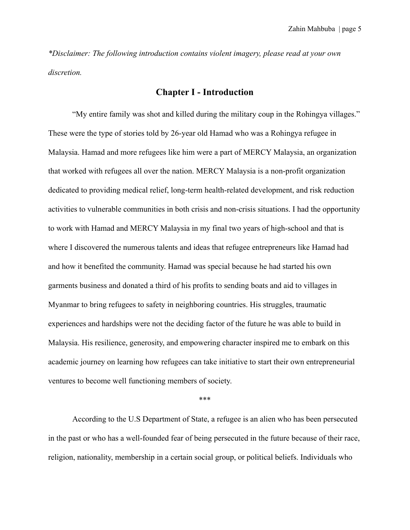*\*Disclaimer: The following introduction contains violent imagery, please read at your own discretion.*

## **Chapter I - Introduction**

"My entire family was shot and killed during the military coup in the Rohingya villages." These were the type of stories told by 26-year old Hamad who was a Rohingya refugee in Malaysia. Hamad and more refugees like him were a part of MERCY Malaysia, an organization that worked with refugees all over the nation. MERCY Malaysia is a non-profit organization dedicated to providing medical relief, long-term health-related development, and risk reduction activities to vulnerable communities in both crisis and non-crisis situations. I had the opportunity to work with Hamad and MERCY Malaysia in my final two years of high-school and that is where I discovered the numerous talents and ideas that refugee entrepreneurs like Hamad had and how it benefited the community. Hamad was special because he had started his own garments business and donated a third of his profits to sending boats and aid to villages in Myanmar to bring refugees to safety in neighboring countries. His struggles, traumatic experiences and hardships were not the deciding factor of the future he was able to build in Malaysia. His resilience, generosity, and empowering character inspired me to embark on this academic journey on learning how refugees can take initiative to start their own entrepreneurial ventures to become well functioning members of society.

#### \*\*\*

According to the U.S Department of State, a refugee is an alien who has been persecuted in the past or who has a well-founded fear of being persecuted in the future because of their race, religion, nationality, membership in a certain social group, or political beliefs. Individuals who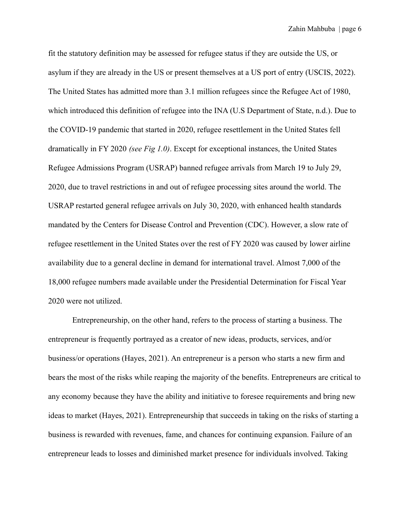fit the statutory definition may be assessed for refugee status if they are outside the US, or asylum if they are already in the US or present themselves at a US port of entry (USCIS, 2022). The United States has admitted more than 3.1 million refugees since the Refugee Act of 1980, which introduced this definition of refugee into the INA (U.S Department of State, n.d.). Due to the COVID-19 pandemic that started in 2020, refugee resettlement in the United States fell dramatically in FY 2020 *(see Fig 1.0)*. Except for exceptional instances, the United States Refugee Admissions Program (USRAP) banned refugee arrivals from March 19 to July 29, 2020, due to travel restrictions in and out of refugee processing sites around the world. The USRAP restarted general refugee arrivals on July 30, 2020, with enhanced health standards mandated by the Centers for Disease Control and Prevention (CDC). However, a slow rate of refugee resettlement in the United States over the rest of FY 2020 was caused by lower airline availability due to a general decline in demand for international travel. Almost 7,000 of the 18,000 refugee numbers made available under the Presidential Determination for Fiscal Year 2020 were not utilized.

Entrepreneurship, on the other hand, refers to the process of starting a business. The entrepreneur is frequently portrayed as a creator of new ideas, products, services, and/or business/or operations (Hayes, 2021). An entrepreneur is a person who starts a new firm and bears the most of the risks while reaping the majority of the benefits. Entrepreneurs are critical to any economy because they have the ability and initiative to foresee requirements and bring new ideas to market (Hayes, 2021). Entrepreneurship that succeeds in taking on the risks of starting a business is rewarded with revenues, fame, and chances for continuing expansion. Failure of an entrepreneur leads to losses and diminished market presence for individuals involved. Taking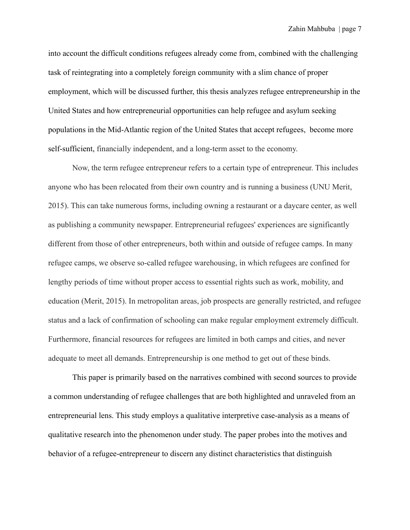into account the difficult conditions refugees already come from, combined with the challenging task of reintegrating into a completely foreign community with a slim chance of proper employment, which will be discussed further, this thesis analyzes refugee entrepreneurship in the United States and how entrepreneurial opportunities can help refugee and asylum seeking populations in the Mid-Atlantic region of the United States that accept refugees, become more self-sufficient, financially independent, and a long-term asset to the economy.

Now, the term refugee entrepreneur refers to a certain type of entrepreneur. This includes anyone who has been relocated from their own country and is running a business (UNU Merit, 2015). This can take numerous forms, including owning a restaurant or a daycare center, as well as publishing a community newspaper. Entrepreneurial refugees' experiences are significantly different from those of other entrepreneurs, both within and outside of refugee camps. In many refugee camps, we observe so-called refugee warehousing, in which refugees are confined for lengthy periods of time without proper access to essential rights such as work, mobility, and education (Merit, 2015). In metropolitan areas, job prospects are generally restricted, and refugee status and a lack of confirmation of schooling can make regular employment extremely difficult. Furthermore, financial resources for refugees are limited in both camps and cities, and never adequate to meet all demands. Entrepreneurship is one method to get out of these binds.

This paper is primarily based on the narratives combined with second sources to provide a common understanding of refugee challenges that are both highlighted and unraveled from an entrepreneurial lens. This study employs a qualitative interpretive case-analysis as a means of qualitative research into the phenomenon under study. The paper probes into the motives and behavior of a refugee-entrepreneur to discern any distinct characteristics that distinguish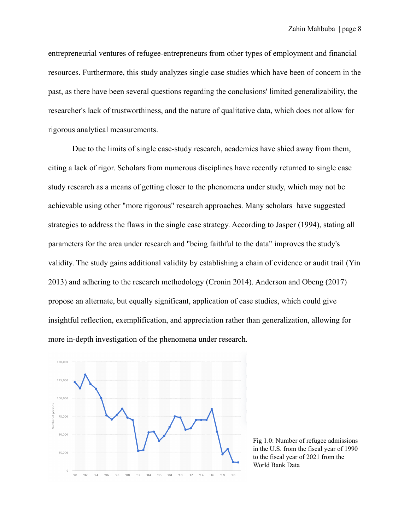entrepreneurial ventures of refugee-entrepreneurs from other types of employment and financial resources. Furthermore, this study analyzes single case studies which have been of concern in the past, as there have been several questions regarding the conclusions' limited generalizability, the researcher's lack of trustworthiness, and the nature of qualitative data, which does not allow for rigorous analytical measurements.

Due to the limits of single case-study research, academics have shied away from them, citing a lack of rigor. Scholars from numerous disciplines have recently returned to single case study research as a means of getting closer to the phenomena under study, which may not be achievable using other "more rigorous" research approaches. Many scholars have suggested strategies to address the flaws in the single case strategy. According to Jasper (1994), stating all parameters for the area under research and "being faithful to the data" improves the study's validity. The study gains additional validity by establishing a chain of evidence or audit trail (Yin 2013) and adhering to the research methodology (Cronin 2014). Anderson and Obeng (2017) propose an alternate, but equally significant, application of case studies, which could give insightful reflection, exemplification, and appreciation rather than generalization, allowing for more in-depth investigation of the phenomena under research.



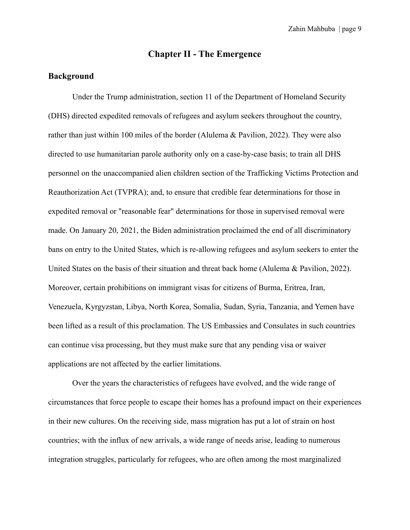## **Chapter II - The Emergence**

#### **Background**

Under the Trump administration, section 11 of the Department of Homeland Security (DHS) directed expedited removals of refugees and asylum seekers throughout the country, rather than just within 100 miles of the border (Alulema & Pavilion, 2022). They were also directed to use humanitarian parole authority only on a case-by-case basis; to train all DHS personnel on the unaccompanied alien children section of the Trafficking Victims Protection and Reauthorization Act (TVPRA); and, to ensure that credible fear determinations for those in expedited removal or "reasonable fear" determinations for those in supervised removal were made. On January 20, 2021, the Biden administration proclaimed the end of all discriminatory bans on entry to the United States, which is re-allowing refugees and asylum seekers to enter the United States on the basis of their situation and threat back home (Alulema & Pavilion, 2022). Moreover, certain prohibitions on immigrant visas for citizens of Burma, Eritrea, Iran, Venezuela, Kyrgyzstan, Libya, North Korea, Somalia, Sudan, Syria, Tanzania, and Yemen have been lifted as a result of this proclamation. The US Embassies and Consulates in such countries can continue visa processing, but they must make sure that any pending visa or waiver applications are not affected by the earlier limitations.

Over the years the characteristics of refugees have evolved, and the wide range of circumstances that force people to escape their homes has a profound impact on their experiences in their new cultures. On the receiving side, mass migration has put a lot of strain on host countries; with the influx of new arrivals, a wide range of needs arise, leading to numerous integration struggles, particularly for refugees, who are often among the most marginalized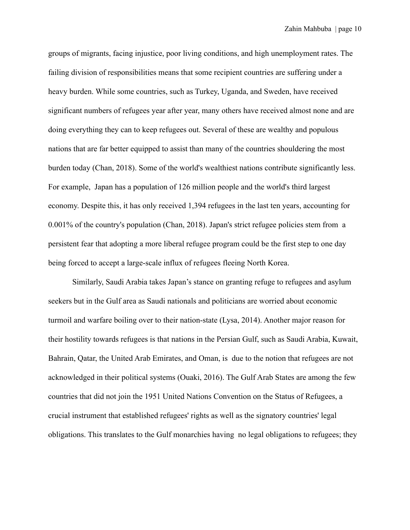groups of migrants, facing injustice, poor living conditions, and high unemployment rates. The failing division of responsibilities means that some recipient countries are suffering under a heavy burden. While some countries, such as Turkey, Uganda, and Sweden, have received significant numbers of refugees year after year, many others have received almost none and are doing everything they can to keep refugees out. Several of these are wealthy and populous nations that are far better equipped to assist than many of the countries shouldering the most burden today (Chan, 2018). Some of the world's wealthiest nations contribute significantly less. For example, Japan has a population of 126 million people and the world's third largest economy. Despite this, it has only received 1,394 refugees in the last ten years, accounting for 0.001% of the country's population (Chan, 2018). Japan's strict refugee policies stem from a persistent fear that adopting a more liberal refugee program could be the first step to one day being forced to accept a large-scale influx of refugees fleeing North Korea.

Similarly, Saudi Arabia takes Japan's stance on granting refuge to refugees and asylum seekers but in the Gulf area as Saudi nationals and politicians are worried about economic turmoil and warfare boiling over to their nation-state (Lysa, 2014). Another major reason for their hostility towards refugees is that nations in the Persian Gulf, such as Saudi Arabia, Kuwait, Bahrain, Qatar, the United Arab Emirates, and Oman, is due to the notion that refugees are not acknowledged in their political systems (Ouaki, 2016). The Gulf Arab States are among the few countries that did not join the 1951 United Nations Convention on the Status of Refugees, a crucial instrument that established refugees' rights as well as the signatory countries' legal obligations. This translates to the Gulf monarchies having no legal obligations to refugees; they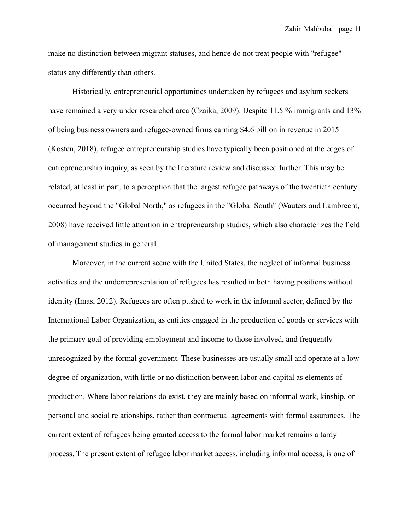make no distinction between migrant statuses, and hence do not treat people with "refugee" status any differently than others.

Historically, entrepreneurial opportunities undertaken by refugees and asylum seekers have remained a very under researched area (Czaika, 2009). Despite 11.5 % immigrants and 13% of being business owners and refugee-owned firms earning \$4.6 billion in revenue in 2015 (Kosten, 2018), refugee entrepreneurship studies have typically been positioned at the edges of entrepreneurship inquiry, as seen by the literature review and discussed further. This may be related, at least in part, to a perception that the largest refugee pathways of the twentieth century occurred beyond the "Global North," as refugees in the "Global South" (Wauters and Lambrecht, 2008) have received little attention in entrepreneurship studies, which also characterizes the field of management studies in general.

Moreover, in the current scene with the United States, the neglect of informal business activities and the underrepresentation of refugees has resulted in both having positions without identity (Imas, 2012). Refugees are often pushed to work in the informal sector, defined by the International Labor Organization, as entities engaged in the production of goods or services with the primary goal of providing employment and income to those involved, and frequently unrecognized by the formal government. These businesses are usually small and operate at a low degree of organization, with little or no distinction between labor and capital as elements of production. Where labor relations do exist, they are mainly based on informal work, kinship, or personal and social relationships, rather than contractual agreements with formal assurances. The current extent of refugees being granted access to the formal labor market remains a tardy process. The present extent of refugee labor market access, including informal access, is one of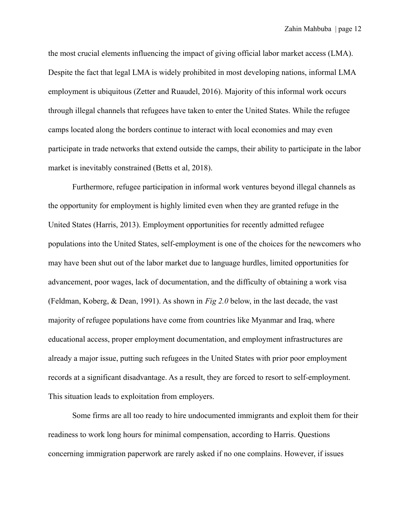the most crucial elements influencing the impact of giving official labor market access (LMA). Despite the fact that legal LMA is widely prohibited in most developing nations, informal LMA employment is ubiquitous (Zetter and Ruaudel, 2016). Majority of this informal work occurs through illegal channels that refugees have taken to enter the United States. While the refugee camps located along the borders continue to interact with local economies and may even participate in trade networks that extend outside the camps, their ability to participate in the labor market is inevitably constrained (Betts et al, 2018).

Furthermore, refugee participation in informal work ventures beyond illegal channels as the opportunity for employment is highly limited even when they are granted refuge in the United States (Harris, 2013). Employment opportunities for recently admitted refugee populations into the United States, self-employment is one of the choices for the newcomers who may have been shut out of the labor market due to language hurdles, limited opportunities for advancement, poor wages, lack of documentation, and the difficulty of obtaining a work visa (Feldman, Koberg, & Dean, 1991). As shown in *Fig 2.0* below, in the last decade, the vast majority of refugee populations have come from countries like Myanmar and Iraq, where educational access, proper employment documentation, and employment infrastructures are already a major issue, putting such refugees in the United States with prior poor employment records at a significant disadvantage. As a result, they are forced to resort to self-employment. This situation leads to exploitation from employers.

Some firms are all too ready to hire undocumented immigrants and exploit them for their readiness to work long hours for minimal compensation, according to Harris. Questions concerning immigration paperwork are rarely asked if no one complains. However, if issues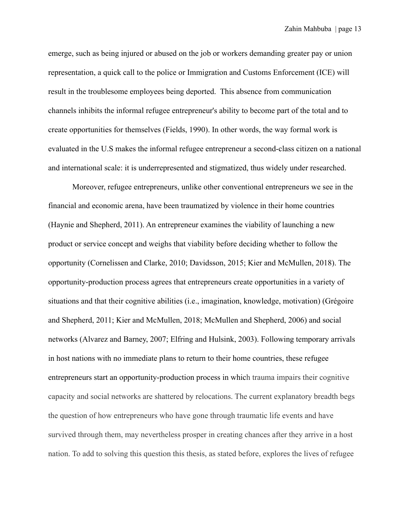emerge, such as being injured or abused on the job or workers demanding greater pay or union representation, a quick call to the police or Immigration and Customs Enforcement (ICE) will result in the troublesome employees being deported. This absence from communication channels inhibits the informal refugee entrepreneur's ability to become part of the total and to create opportunities for themselves (Fields, 1990). In other words, the way formal work is evaluated in the U.S makes the informal refugee entrepreneur a second-class citizen on a national and international scale: it is underrepresented and stigmatized, thus widely under researched.

Moreover, refugee entrepreneurs, unlike other conventional entrepreneurs we see in the financial and economic arena, have been traumatized by violence in their home countries (Haynie and Shepherd, 2011). An entrepreneur examines the viability of launching a new product or service concept and weighs that viability before deciding whether to follow the opportunity (Cornelissen and Clarke, 2010; Davidsson, 2015; Kier and McMullen, 2018). The opportunity-production process agrees that entrepreneurs create opportunities in a variety of situations and that their cognitive abilities (i.e., imagination, knowledge, motivation) (Grégoire and Shepherd, 2011; Kier and McMullen, 2018; McMullen and Shepherd, 2006) and social networks (Alvarez and Barney, 2007; Elfring and Hulsink, 2003). Following temporary arrivals in host nations with no immediate plans to return to their home countries, these refugee entrepreneurs start an opportunity-production process in which trauma impairs their cognitive capacity and social networks are shattered by relocations. The current explanatory breadth begs the question of how entrepreneurs who have gone through traumatic life events and have survived through them, may nevertheless prosper in creating chances after they arrive in a host nation. To add to solving this question this thesis, as stated before, explores the lives of refugee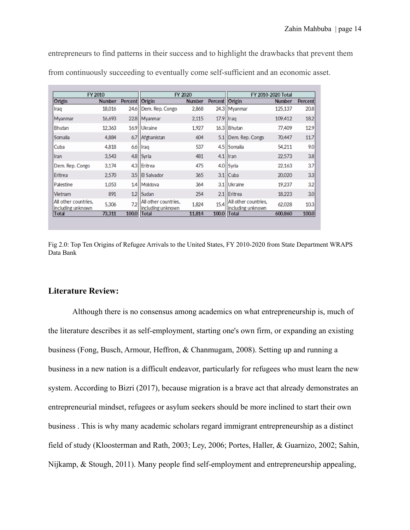entrepreneurs to find patterns in their success and to highlight the drawbacks that prevent them from continuously succeeding to eventually come self-sufficient and an economic asset.

| <b>FY 2010</b>                            |               |                | FY 2020                                   |               |                | <b>FY 2010-2020 Total</b>                   |               |                  |
|-------------------------------------------|---------------|----------------|-------------------------------------------|---------------|----------------|---------------------------------------------|---------------|------------------|
| Origin                                    | <b>Number</b> | <b>Percent</b> | Origin                                    | <b>Number</b> | <b>Percent</b> | Origin                                      | <b>Number</b> | <b>Percent</b>   |
| Iraq                                      | 18,016        | 24.6           | Dem. Rep. Congo                           | 2,868         |                | 24.3 Myanmar                                | 125,137       | 20.8             |
| <b>Myanmar</b>                            | 16,693        | 22.8           | Myanmar                                   | 2.115         |                | $17.9$ Iraq                                 | 109,412       | 18.2             |
| Bhutan                                    | 12.363        | 16.9           | Ukraine                                   | 1.927         |                | 16.3 Bhutan                                 | 77,409        | 12.9             |
| Somalia                                   | 4,884         | 6.7            | Afghanistan                               | 604           | 5.1            | Dem. Rep. Congo                             | 70,447        | 11.7             |
| Cuba                                      | 4,818         | 6.6            | Iraq                                      | 537           |                | 4.5 Somalia                                 | 54,211        | 9.0              |
| Iran                                      | 3.543         | 4.8            | Syria                                     | 481           |                | $4.1$   Iran                                | 22,573        | 3.8              |
| Dem. Rep. Congo                           | 3.174         | 4.3            | Eritrea                                   | 475           |                | 4.0 Syria                                   | 22,163        | 3.7              |
| Eritrea                                   | 2,570         | 3.5            | <b>El Salvador</b>                        | 365           |                | $3.1$ Cuba                                  | 20,020        | 3.3              |
| Palestine                                 | 1,053         | 1.4            | Moldova                                   | 364           |                | 3.1 Ukraine                                 | 19.237        | 3.2              |
| Vietnam                                   | 891           | 1.2            | Sudan                                     | 254           | 2.1            | Eritrea                                     | 18,223        | 3.0 <sub>l</sub> |
| All other countries.<br>including unknown | 5,306         | 7.2            | All other countries.<br>including unknown | 1,824         | 15.4           | IAII other countries.<br>lincluding unknown | 62,028        | 10.3             |
| Total                                     | 73.311        | 100.0          | <b>Total</b>                              | 11.814        | 100.0          | Total                                       | 600,860       | 100.0            |

Fig 2.0: Top Ten Origins of Refugee Arrivals to the United States, FY 2010-2020 from State Department WRAPS Data Bank

## **Literature Review:**

Although there is no consensus among academics on what entrepreneurship is, much of the literature describes it as self-employment, starting one's own firm, or expanding an existing business (Fong, Busch, Armour, Heffron, & Chanmugam, 2008). Setting up and running a business in a new nation is a difficult endeavor, particularly for refugees who must learn the new system. According to Bizri (2017), because migration is a brave act that already demonstrates an entrepreneurial mindset, refugees or asylum seekers should be more inclined to start their own business . This is why many academic scholars regard immigrant entrepreneurship as a distinct field of study (Kloosterman and Rath, 2003; Ley, 2006; Portes, Haller, & Guarnizo, 2002; Sahin, Nijkamp, & Stough, 2011). Many people find self-employment and entrepreneurship appealing,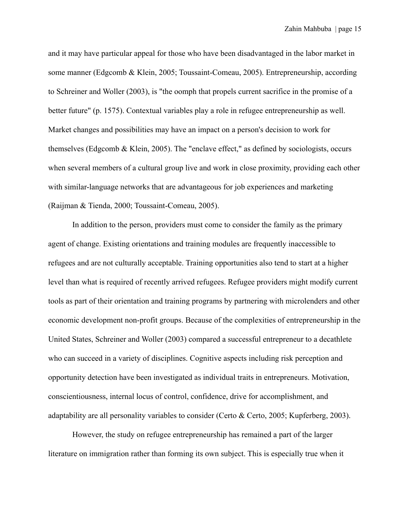and it may have particular appeal for those who have been disadvantaged in the labor market in some manner (Edgcomb & Klein, 2005; Toussaint-Comeau, 2005). Entrepreneurship, according to Schreiner and Woller (2003), is "the oomph that propels current sacrifice in the promise of a better future" (p. 1575). Contextual variables play a role in refugee entrepreneurship as well. Market changes and possibilities may have an impact on a person's decision to work for themselves (Edgcomb & Klein, 2005). The "enclave effect," as defined by sociologists, occurs when several members of a cultural group live and work in close proximity, providing each other with similar-language networks that are advantageous for job experiences and marketing (Raijman & Tienda, 2000; Toussaint-Comeau, 2005).

In addition to the person, providers must come to consider the family as the primary agent of change. Existing orientations and training modules are frequently inaccessible to refugees and are not culturally acceptable. Training opportunities also tend to start at a higher level than what is required of recently arrived refugees. Refugee providers might modify current tools as part of their orientation and training programs by partnering with microlenders and other economic development non-profit groups. Because of the complexities of entrepreneurship in the United States, Schreiner and Woller (2003) compared a successful entrepreneur to a decathlete who can succeed in a variety of disciplines. Cognitive aspects including risk perception and opportunity detection have been investigated as individual traits in entrepreneurs. Motivation, conscientiousness, internal locus of control, confidence, drive for accomplishment, and adaptability are all personality variables to consider (Certo & Certo, 2005; Kupferberg, 2003).

However, the study on refugee entrepreneurship has remained a part of the larger literature on immigration rather than forming its own subject. This is especially true when it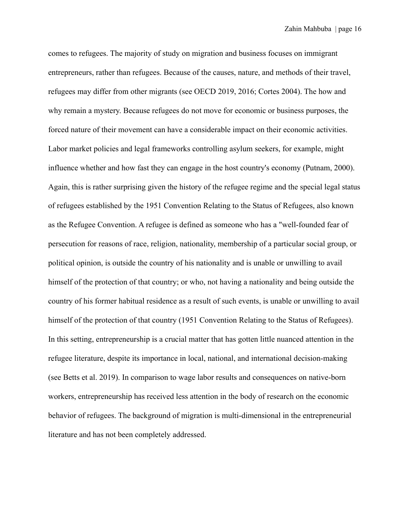comes to refugees. The majority of study on migration and business focuses on immigrant entrepreneurs, rather than refugees. Because of the causes, nature, and methods of their travel, refugees may differ from other migrants (see OECD 2019, 2016; Cortes 2004). The how and why remain a mystery. Because refugees do not move for economic or business purposes, the forced nature of their movement can have a considerable impact on their economic activities. Labor market policies and legal frameworks controlling asylum seekers, for example, might influence whether and how fast they can engage in the host country's economy (Putnam, 2000). Again, this is rather surprising given the history of the refugee regime and the special legal status of refugees established by the 1951 Convention Relating to the Status of Refugees, also known as the Refugee Convention. A refugee is defined as someone who has a "well-founded fear of persecution for reasons of race, religion, nationality, membership of a particular social group, or political opinion, is outside the country of his nationality and is unable or unwilling to avail himself of the protection of that country; or who, not having a nationality and being outside the country of his former habitual residence as a result of such events, is unable or unwilling to avail himself of the protection of that country (1951 Convention Relating to the Status of Refugees). In this setting, entrepreneurship is a crucial matter that has gotten little nuanced attention in the refugee literature, despite its importance in local, national, and international decision-making (see Betts et al. 2019). In comparison to wage labor results and consequences on native-born workers, entrepreneurship has received less attention in the body of research on the economic behavior of refugees. The background of migration is multi-dimensional in the entrepreneurial literature and has not been completely addressed.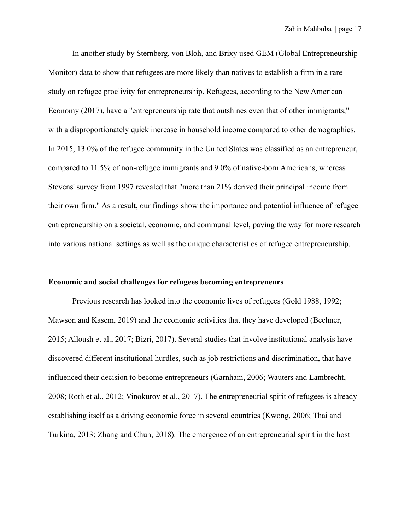In another study by Sternberg, von Bloh, and Brixy used GEM (Global Entrepreneurship Monitor) data to show that refugees are more likely than natives to establish a firm in a rare study on refugee proclivity for entrepreneurship. Refugees, according to the New American Economy (2017), have a "entrepreneurship rate that outshines even that of other immigrants," with a disproportionately quick increase in household income compared to other demographics. In 2015, 13.0% of the refugee community in the United States was classified as an entrepreneur, compared to 11.5% of non-refugee immigrants and 9.0% of native-born Americans, whereas Stevens' survey from 1997 revealed that "more than 21% derived their principal income from their own firm." As a result, our findings show the importance and potential influence of refugee entrepreneurship on a societal, economic, and communal level, paving the way for more research into various national settings as well as the unique characteristics of refugee entrepreneurship.

## **Economic and social challenges for refugees becoming entrepreneurs**

Previous research has looked into the economic lives of refugees (Gold 1988, 1992; Mawson and Kasem, 2019) and the economic activities that they have developed (Beehner, 2015; Alloush et al., 2017; Bizri, 2017). Several studies that involve institutional analysis have discovered different institutional hurdles, such as job restrictions and discrimination, that have influenced their decision to become entrepreneurs (Garnham, 2006; Wauters and Lambrecht, 2008; Roth et al., 2012; Vinokurov et al., 2017). The entrepreneurial spirit of refugees is already establishing itself as a driving economic force in several countries (Kwong, 2006; Thai and Turkina, 2013; Zhang and Chun, 2018). The emergence of an entrepreneurial spirit in the host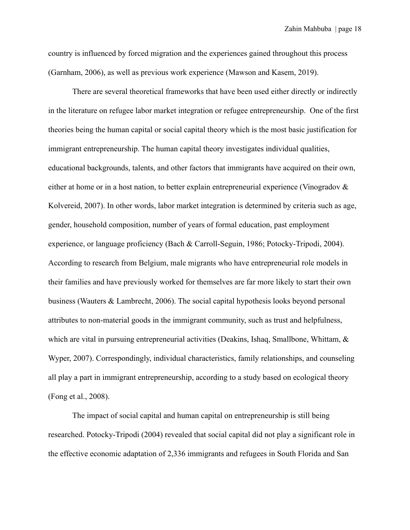country is influenced by forced migration and the experiences gained throughout this process (Garnham, 2006), as well as previous work experience (Mawson and Kasem, 2019).

There are several theoretical frameworks that have been used either directly or indirectly in the literature on refugee labor market integration or refugee entrepreneurship. One of the first theories being the human capital or social capital theory which is the most basic justification for immigrant entrepreneurship. The human capital theory investigates individual qualities, educational backgrounds, talents, and other factors that immigrants have acquired on their own, either at home or in a host nation, to better explain entrepreneurial experience (Vinogradov & Kolvereid, 2007). In other words, labor market integration is determined by criteria such as age, gender, household composition, number of years of formal education, past employment experience, or language proficiency (Bach & Carroll-Seguin, 1986; Potocky-Tripodi, 2004). According to research from Belgium, male migrants who have entrepreneurial role models in their families and have previously worked for themselves are far more likely to start their own business (Wauters & Lambrecht, 2006). The social capital hypothesis looks beyond personal attributes to non-material goods in the immigrant community, such as trust and helpfulness, which are vital in pursuing entrepreneurial activities (Deakins, Ishaq, Smallbone, Whittam, & Wyper, 2007). Correspondingly, individual characteristics, family relationships, and counseling all play a part in immigrant entrepreneurship, according to a study based on ecological theory (Fong et al., 2008).

The impact of social capital and human capital on entrepreneurship is still being researched. Potocky-Tripodi (2004) revealed that social capital did not play a significant role in the effective economic adaptation of 2,336 immigrants and refugees in South Florida and San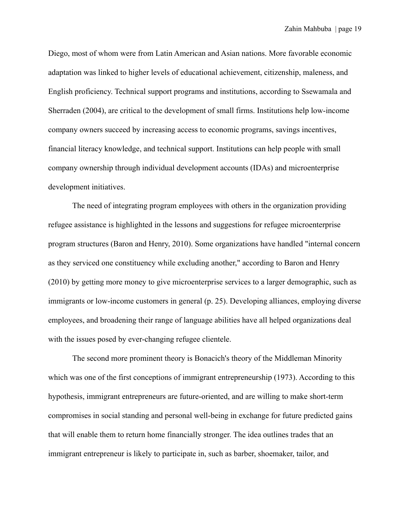Diego, most of whom were from Latin American and Asian nations. More favorable economic adaptation was linked to higher levels of educational achievement, citizenship, maleness, and English proficiency. Technical support programs and institutions, according to Ssewamala and Sherraden (2004), are critical to the development of small firms. Institutions help low-income company owners succeed by increasing access to economic programs, savings incentives, financial literacy knowledge, and technical support. Institutions can help people with small company ownership through individual development accounts (IDAs) and microenterprise development initiatives.

The need of integrating program employees with others in the organization providing refugee assistance is highlighted in the lessons and suggestions for refugee microenterprise program structures (Baron and Henry, 2010). Some organizations have handled "internal concern as they serviced one constituency while excluding another," according to Baron and Henry (2010) by getting more money to give microenterprise services to a larger demographic, such as immigrants or low-income customers in general (p. 25). Developing alliances, employing diverse employees, and broadening their range of language abilities have all helped organizations deal with the issues posed by ever-changing refugee clientele.

The second more prominent theory is Bonacich's theory of the Middleman Minority which was one of the first conceptions of immigrant entrepreneurship (1973). According to this hypothesis, immigrant entrepreneurs are future-oriented, and are willing to make short-term compromises in social standing and personal well-being in exchange for future predicted gains that will enable them to return home financially stronger. The idea outlines trades that an immigrant entrepreneur is likely to participate in, such as barber, shoemaker, tailor, and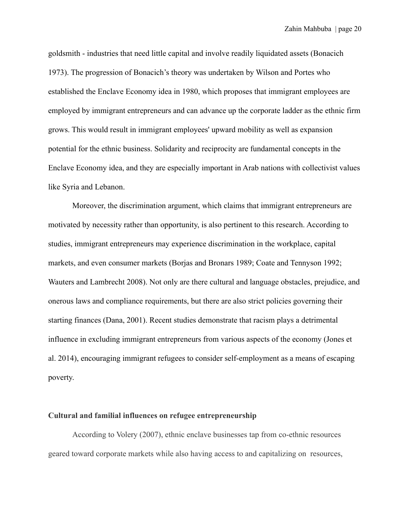goldsmith - industries that need little capital and involve readily liquidated assets (Bonacich 1973). The progression of Bonacich's theory was undertaken by Wilson and Portes who established the Enclave Economy idea in 1980, which proposes that immigrant employees are employed by immigrant entrepreneurs and can advance up the corporate ladder as the ethnic firm grows. This would result in immigrant employees' upward mobility as well as expansion potential for the ethnic business. Solidarity and reciprocity are fundamental concepts in the Enclave Economy idea, and they are especially important in Arab nations with collectivist values like Syria and Lebanon.

Moreover, the discrimination argument, which claims that immigrant entrepreneurs are motivated by necessity rather than opportunity, is also pertinent to this research. According to studies, immigrant entrepreneurs may experience discrimination in the workplace, capital markets, and even consumer markets (Borjas and Bronars 1989; Coate and Tennyson 1992; Wauters and Lambrecht 2008). Not only are there cultural and language obstacles, prejudice, and onerous laws and compliance requirements, but there are also strict policies governing their starting finances (Dana, 2001). Recent studies demonstrate that racism plays a detrimental influence in excluding immigrant entrepreneurs from various aspects of the economy (Jones et al. 2014), encouraging immigrant refugees to consider self-employment as a means of escaping poverty.

#### **Cultural and familial influences on refugee entrepreneurship**

According to Volery (2007), ethnic enclave businesses tap from co-ethnic resources geared toward corporate markets while also having access to and capitalizing on resources,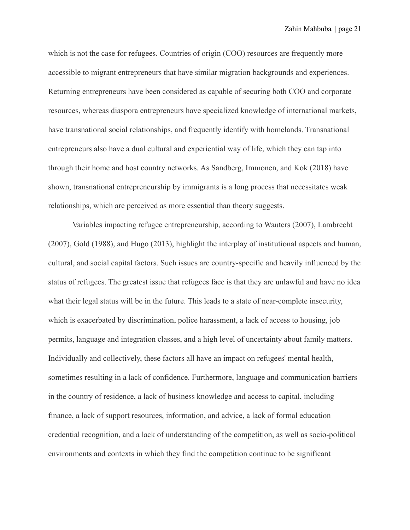which is not the case for refugees. Countries of origin (COO) resources are frequently more accessible to migrant entrepreneurs that have similar migration backgrounds and experiences. Returning entrepreneurs have been considered as capable of securing both COO and corporate resources, whereas diaspora entrepreneurs have specialized knowledge of international markets, have transnational social relationships, and frequently identify with homelands. Transnational entrepreneurs also have a dual cultural and experiential way of life, which they can tap into through their home and host country networks. As Sandberg, Immonen, and Kok (2018) have shown, transnational entrepreneurship by immigrants is a long process that necessitates weak relationships, which are perceived as more essential than theory suggests.

Variables impacting refugee entrepreneurship, according to Wauters (2007), Lambrecht (2007), Gold (1988), and Hugo (2013), highlight the interplay of institutional aspects and human, cultural, and social capital factors. Such issues are country-specific and heavily influenced by the status of refugees. The greatest issue that refugees face is that they are unlawful and have no idea what their legal status will be in the future. This leads to a state of near-complete insecurity, which is exacerbated by discrimination, police harassment, a lack of access to housing, job permits, language and integration classes, and a high level of uncertainty about family matters. Individually and collectively, these factors all have an impact on refugees' mental health, sometimes resulting in a lack of confidence. Furthermore, language and communication barriers in the country of residence, a lack of business knowledge and access to capital, including finance, a lack of support resources, information, and advice, a lack of formal education credential recognition, and a lack of understanding of the competition, as well as socio-political environments and contexts in which they find the competition continue to be significant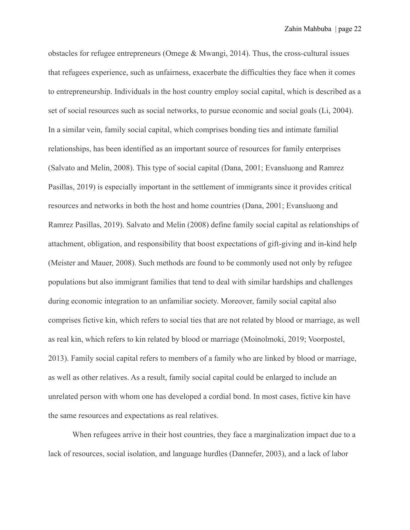obstacles for refugee entrepreneurs (Omege & Mwangi, 2014). Thus, the cross-cultural issues that refugees experience, such as unfairness, exacerbate the difficulties they face when it comes to entrepreneurship. Individuals in the host country employ social capital, which is described as a set of social resources such as social networks, to pursue economic and social goals (Li, 2004). In a similar vein, family social capital, which comprises bonding ties and intimate familial relationships, has been identified as an important source of resources for family enterprises (Salvato and Melin, 2008). This type of social capital (Dana, 2001; Evansluong and Ramrez Pasillas, 2019) is especially important in the settlement of immigrants since it provides critical resources and networks in both the host and home countries (Dana, 2001; Evansluong and Ramrez Pasillas, 2019). Salvato and Melin (2008) define family social capital as relationships of attachment, obligation, and responsibility that boost expectations of gift-giving and in-kind help (Meister and Mauer, 2008). Such methods are found to be commonly used not only by refugee populations but also immigrant families that tend to deal with similar hardships and challenges during economic integration to an unfamiliar society. Moreover, family social capital also comprises fictive kin, which refers to social ties that are not related by blood or marriage, as well as real kin, which refers to kin related by blood or marriage (Moinolmoki, 2019; Voorpostel, 2013). Family social capital refers to members of a family who are linked by blood or marriage, as well as other relatives. As a result, family social capital could be enlarged to include an unrelated person with whom one has developed a cordial bond. In most cases, fictive kin have the same resources and expectations as real relatives.

When refugees arrive in their host countries, they face a marginalization impact due to a lack of resources, social isolation, and language hurdles (Dannefer, 2003), and a lack of labor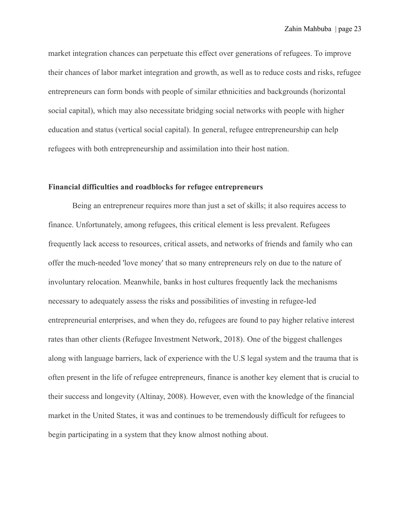market integration chances can perpetuate this effect over generations of refugees. To improve their chances of labor market integration and growth, as well as to reduce costs and risks, refugee entrepreneurs can form bonds with people of similar ethnicities and backgrounds (horizontal social capital), which may also necessitate bridging social networks with people with higher education and status (vertical social capital). In general, refugee entrepreneurship can help refugees with both entrepreneurship and assimilation into their host nation.

#### **Financial difficulties and roadblocks for refugee entrepreneurs**

Being an entrepreneur requires more than just a set of skills; it also requires access to finance. Unfortunately, among refugees, this critical element is less prevalent. Refugees frequently lack access to resources, critical assets, and networks of friends and family who can offer the much-needed 'love money' that so many entrepreneurs rely on due to the nature of involuntary relocation. Meanwhile, banks in host cultures frequently lack the mechanisms necessary to adequately assess the risks and possibilities of investing in refugee-led entrepreneurial enterprises, and when they do, refugees are found to pay higher relative interest rates than other clients (Refugee Investment Network, 2018). One of the biggest challenges along with language barriers, lack of experience with the U.S legal system and the trauma that is often present in the life of refugee entrepreneurs, finance is another key element that is crucial to their success and longevity (Altinay, 2008). However, even with the knowledge of the financial market in the United States, it was and continues to be tremendously difficult for refugees to begin participating in a system that they know almost nothing about.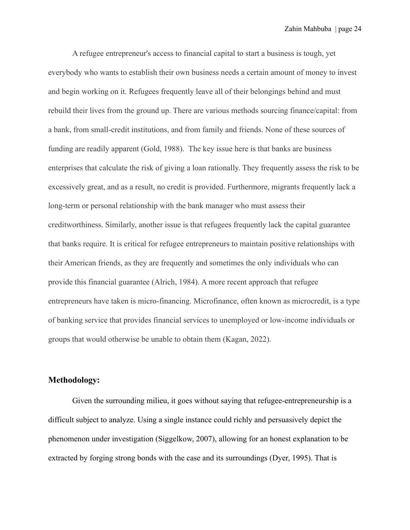A refugee entrepreneur's access to financial capital to start a business is tough, yet everybody who wants to establish their own business needs a certain amount of money to invest and begin working on it. Refugees frequently leave all of their belongings behind and must rebuild their lives from the ground up. There are various methods sourcing finance/capital: from a bank, from small-credit institutions, and from family and friends. None of these sources of funding are readily apparent (Gold, 1988). The key issue here is that banks are business enterprises that calculate the risk of giving a loan rationally. They frequently assess the risk to be excessively great, and as a result, no credit is provided. Furthermore, migrants frequently lack a long-term or personal relationship with the bank manager who must assess their creditworthiness. Similarly, another issue is that refugees frequently lack the capital guarantee that banks require. It is critical for refugee entrepreneurs to maintain positive relationships with their American friends, as they are frequently and sometimes the only individuals who can provide this financial guarantee (Alrich, 1984). A more recent approach that refugee entrepreneurs have taken is micro-financing. Microfinance, often known as microcredit, is a type of banking service that provides financial services to unemployed or low-income individuals or groups that would otherwise be unable to obtain them (Kagan, 2022).

## **Methodology:**

Given the surrounding milieu, it goes without saying that refugee-entrepreneurship is a difficult subject to analyze. Using a single instance could richly and persuasively depict the phenomenon under investigation (Siggelkow, 2007), allowing for an honest explanation to be extracted by forging strong bonds with the case and its surroundings (Dyer, 1995). That is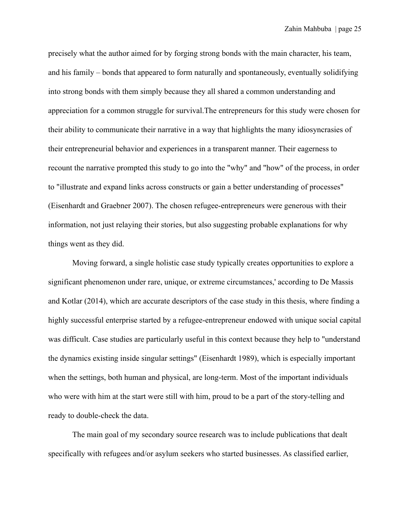precisely what the author aimed for by forging strong bonds with the main character, his team, and his family – bonds that appeared to form naturally and spontaneously, eventually solidifying into strong bonds with them simply because they all shared a common understanding and appreciation for a common struggle for survival.The entrepreneurs for this study were chosen for their ability to communicate their narrative in a way that highlights the many idiosyncrasies of their entrepreneurial behavior and experiences in a transparent manner. Their eagerness to recount the narrative prompted this study to go into the "why" and "how" of the process, in order to "illustrate and expand links across constructs or gain a better understanding of processes" (Eisenhardt and Graebner 2007). The chosen refugee-entrepreneurs were generous with their information, not just relaying their stories, but also suggesting probable explanations for why things went as they did.

Moving forward, a single holistic case study typically creates opportunities to explore a significant phenomenon under rare, unique, or extreme circumstances,' according to De Massis and Kotlar (2014), which are accurate descriptors of the case study in this thesis, where finding a highly successful enterprise started by a refugee-entrepreneur endowed with unique social capital was difficult. Case studies are particularly useful in this context because they help to "understand the dynamics existing inside singular settings" (Eisenhardt 1989), which is especially important when the settings, both human and physical, are long-term. Most of the important individuals who were with him at the start were still with him, proud to be a part of the story-telling and ready to double-check the data.

The main goal of my secondary source research was to include publications that dealt specifically with refugees and/or asylum seekers who started businesses. As classified earlier,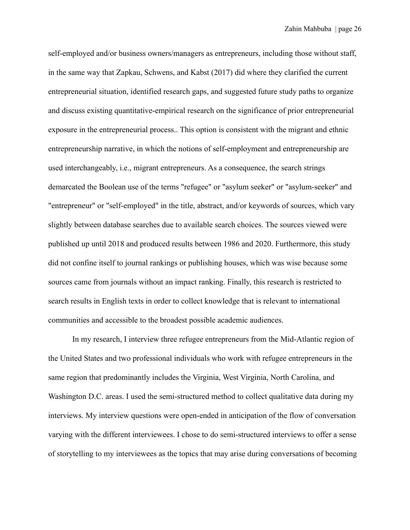self-employed and/or business owners/managers as entrepreneurs, including those without staff, in the same way that Zapkau, Schwens, and Kabst (2017) did where they clarified the current entrepreneurial situation, identified research gaps, and suggested future study paths to organize and discuss existing quantitative-empirical research on the significance of prior entrepreneurial exposure in the entrepreneurial process.. This option is consistent with the migrant and ethnic entrepreneurship narrative, in which the notions of self-employment and entrepreneurship are used interchangeably, i.e., migrant entrepreneurs. As a consequence, the search strings demarcated the Boolean use of the terms "refugee" or "asylum seeker" or "asylum-seeker" and "entrepreneur" or "self-employed" in the title, abstract, and/or keywords of sources, which vary slightly between database searches due to available search choices. The sources viewed were published up until 2018 and produced results between 1986 and 2020. Furthermore, this study did not confine itself to journal rankings or publishing houses, which was wise because some sources came from journals without an impact ranking. Finally, this research is restricted to search results in English texts in order to collect knowledge that is relevant to international communities and accessible to the broadest possible academic audiences.

In my research, I interview three refugee entrepreneurs from the Mid-Atlantic region of the United States and two professional individuals who work with refugee entrepreneurs in the same region that predominantly includes the Virginia, West Virginia, North Carolina, and Washington D.C. areas. I used the semi-structured method to collect qualitative data during my interviews. My interview questions were open-ended in anticipation of the flow of conversation varying with the different interviewees. I chose to do semi-structured interviews to offer a sense of storytelling to my interviewees as the topics that may arise during conversations of becoming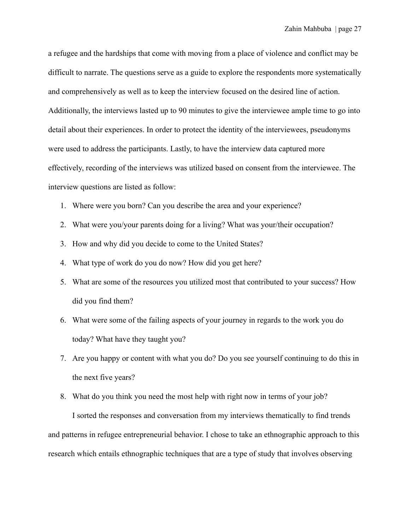a refugee and the hardships that come with moving from a place of violence and conflict may be difficult to narrate. The questions serve as a guide to explore the respondents more systematically and comprehensively as well as to keep the interview focused on the desired line of action. Additionally, the interviews lasted up to 90 minutes to give the interviewee ample time to go into detail about their experiences. In order to protect the identity of the interviewees, pseudonyms were used to address the participants. Lastly, to have the interview data captured more effectively, recording of the interviews was utilized based on consent from the interviewee. The interview questions are listed as follow:

- 1. Where were you born? Can you describe the area and your experience?
- 2. What were you/your parents doing for a living? What was your/their occupation?
- 3. How and why did you decide to come to the United States?
- 4. What type of work do you do now? How did you get here?
- 5. What are some of the resources you utilized most that contributed to your success? How did you find them?
- 6. What were some of the failing aspects of your journey in regards to the work you do today? What have they taught you?
- 7. Are you happy or content with what you do? Do you see yourself continuing to do this in the next five years?
- 8. What do you think you need the most help with right now in terms of your job?

I sorted the responses and conversation from my interviews thematically to find trends and patterns in refugee entrepreneurial behavior. I chose to take an ethnographic approach to this research which entails ethnographic techniques that are a type of study that involves observing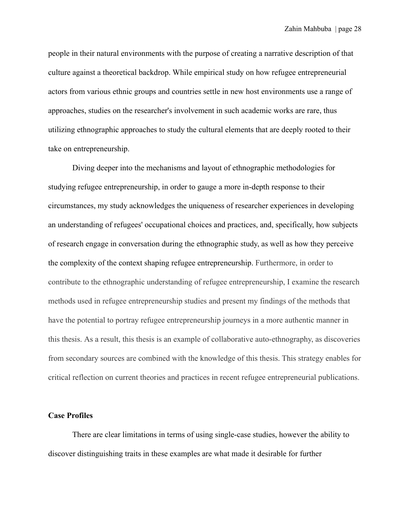people in their natural environments with the purpose of creating a narrative description of that culture against a theoretical backdrop. While empirical study on how refugee entrepreneurial actors from various ethnic groups and countries settle in new host environments use a range of approaches, studies on the researcher's involvement in such academic works are rare, thus utilizing ethnographic approaches to study the cultural elements that are deeply rooted to their take on entrepreneurship.

Diving deeper into the mechanisms and layout of ethnographic methodologies for studying refugee entrepreneurship, in order to gauge a more in-depth response to their circumstances, my study acknowledges the uniqueness of researcher experiences in developing an understanding of refugees' occupational choices and practices, and, specifically, how subjects of research engage in conversation during the ethnographic study, as well as how they perceive the complexity of the context shaping refugee entrepreneurship. Furthermore, in order to contribute to the ethnographic understanding of refugee entrepreneurship, I examine the research methods used in refugee entrepreneurship studies and present my findings of the methods that have the potential to portray refugee entrepreneurship journeys in a more authentic manner in this thesis. As a result, this thesis is an example of collaborative auto-ethnography, as discoveries from secondary sources are combined with the knowledge of this thesis. This strategy enables for critical reflection on current theories and practices in recent refugee entrepreneurial publications.

#### **Case Profiles**

There are clear limitations in terms of using single-case studies, however the ability to discover distinguishing traits in these examples are what made it desirable for further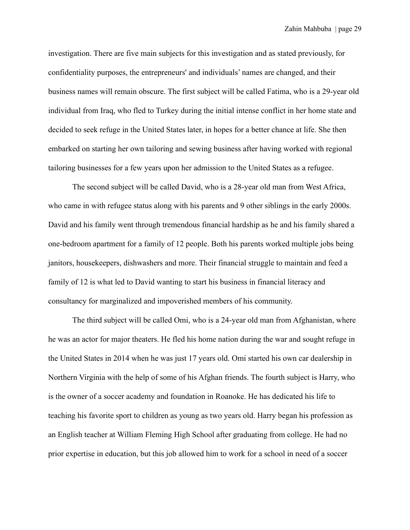investigation. There are five main subjects for this investigation and as stated previously, for confidentiality purposes, the entrepreneurs' and individuals' names are changed, and their business names will remain obscure. The first subject will be called Fatima, who is a 29-year old individual from Iraq, who fled to Turkey during the initial intense conflict in her home state and decided to seek refuge in the United States later, in hopes for a better chance at life. She then embarked on starting her own tailoring and sewing business after having worked with regional tailoring businesses for a few years upon her admission to the United States as a refugee.

The second subject will be called David, who is a 28-year old man from West Africa, who came in with refugee status along with his parents and 9 other siblings in the early 2000s. David and his family went through tremendous financial hardship as he and his family shared a one-bedroom apartment for a family of 12 people. Both his parents worked multiple jobs being janitors, housekeepers, dishwashers and more. Their financial struggle to maintain and feed a family of 12 is what led to David wanting to start his business in financial literacy and consultancy for marginalized and impoverished members of his community.

The third subject will be called Omi, who is a 24-year old man from Afghanistan, where he was an actor for major theaters. He fled his home nation during the war and sought refuge in the United States in 2014 when he was just 17 years old. Omi started his own car dealership in Northern Virginia with the help of some of his Afghan friends. The fourth subject is Harry, who is the owner of a soccer academy and foundation in Roanoke. He has dedicated his life to teaching his favorite sport to children as young as two years old. Harry began his profession as an English teacher at William Fleming High School after graduating from college. He had no prior expertise in education, but this job allowed him to work for a school in need of a soccer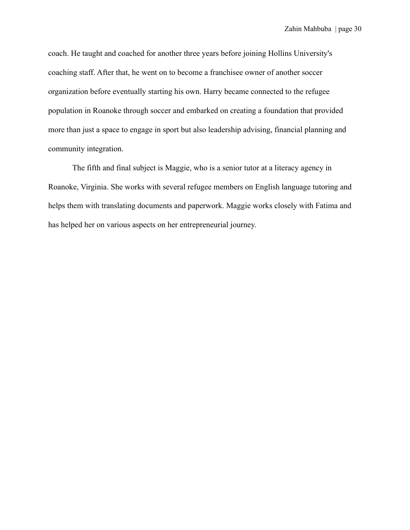coach. He taught and coached for another three years before joining Hollins University's coaching staff. After that, he went on to become a franchisee owner of another soccer organization before eventually starting his own. Harry became connected to the refugee population in Roanoke through soccer and embarked on creating a foundation that provided more than just a space to engage in sport but also leadership advising, financial planning and community integration.

The fifth and final subject is Maggie, who is a senior tutor at a literacy agency in Roanoke, Virginia. She works with several refugee members on English language tutoring and helps them with translating documents and paperwork. Maggie works closely with Fatima and has helped her on various aspects on her entrepreneurial journey.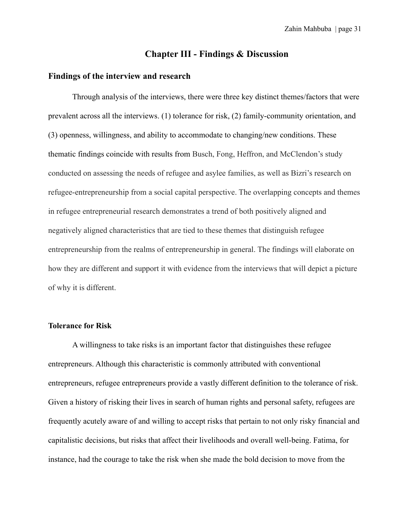## **Chapter III - Findings & Discussion**

#### **Findings of the interview and research**

Through analysis of the interviews, there were three key distinct themes/factors that were prevalent across all the interviews. (1) tolerance for risk, (2) family-community orientation, and (3) openness, willingness, and ability to accommodate to changing/new conditions. These thematic findings coincide with results from Busch, Fong, Heffron, and McClendon's study conducted on assessing the needs of refugee and asylee families, as well as Bizri's research on refugee-entrepreneurship from a social capital perspective. The overlapping concepts and themes in refugee entrepreneurial research demonstrates a trend of both positively aligned and negatively aligned characteristics that are tied to these themes that distinguish refugee entrepreneurship from the realms of entrepreneurship in general. The findings will elaborate on how they are different and support it with evidence from the interviews that will depict a picture of why it is different.

## **Tolerance for Risk**

A willingness to take risks is an important factor that distinguishes these refugee entrepreneurs. Although this characteristic is commonly attributed with conventional entrepreneurs, refugee entrepreneurs provide a vastly different definition to the tolerance of risk. Given a history of risking their lives in search of human rights and personal safety, refugees are frequently acutely aware of and willing to accept risks that pertain to not only risky financial and capitalistic decisions, but risks that affect their livelihoods and overall well-being. Fatima, for instance, had the courage to take the risk when she made the bold decision to move from the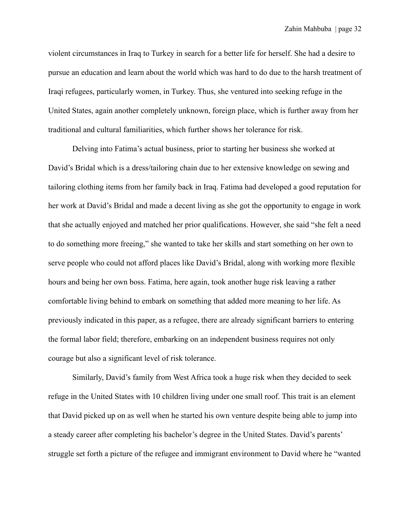violent circumstances in Iraq to Turkey in search for a better life for herself. She had a desire to pursue an education and learn about the world which was hard to do due to the harsh treatment of Iraqi refugees, particularly women, in Turkey. Thus, she ventured into seeking refuge in the United States, again another completely unknown, foreign place, which is further away from her traditional and cultural familiarities, which further shows her tolerance for risk.

Delving into Fatima's actual business, prior to starting her business she worked at David's Bridal which is a dress/tailoring chain due to her extensive knowledge on sewing and tailoring clothing items from her family back in Iraq. Fatima had developed a good reputation for her work at David's Bridal and made a decent living as she got the opportunity to engage in work that she actually enjoyed and matched her prior qualifications. However, she said "she felt a need to do something more freeing," she wanted to take her skills and start something on her own to serve people who could not afford places like David's Bridal, along with working more flexible hours and being her own boss. Fatima, here again, took another huge risk leaving a rather comfortable living behind to embark on something that added more meaning to her life. As previously indicated in this paper, as a refugee, there are already significant barriers to entering the formal labor field; therefore, embarking on an independent business requires not only courage but also a significant level of risk tolerance.

Similarly, David's family from West Africa took a huge risk when they decided to seek refuge in the United States with 10 children living under one small roof. This trait is an element that David picked up on as well when he started his own venture despite being able to jump into a steady career after completing his bachelor's degree in the United States. David's parents' struggle set forth a picture of the refugee and immigrant environment to David where he "wanted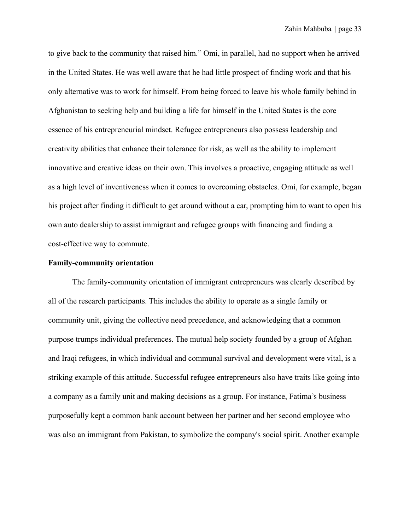to give back to the community that raised him." Omi, in parallel, had no support when he arrived in the United States. He was well aware that he had little prospect of finding work and that his only alternative was to work for himself. From being forced to leave his whole family behind in Afghanistan to seeking help and building a life for himself in the United States is the core essence of his entrepreneurial mindset. Refugee entrepreneurs also possess leadership and creativity abilities that enhance their tolerance for risk, as well as the ability to implement innovative and creative ideas on their own. This involves a proactive, engaging attitude as well as a high level of inventiveness when it comes to overcoming obstacles. Omi, for example, began his project after finding it difficult to get around without a car, prompting him to want to open his own auto dealership to assist immigrant and refugee groups with financing and finding a cost-effective way to commute.

#### **Family-community orientation**

The family-community orientation of immigrant entrepreneurs was clearly described by all of the research participants. This includes the ability to operate as a single family or community unit, giving the collective need precedence, and acknowledging that a common purpose trumps individual preferences. The mutual help society founded by a group of Afghan and Iraqi refugees, in which individual and communal survival and development were vital, is a striking example of this attitude. Successful refugee entrepreneurs also have traits like going into a company as a family unit and making decisions as a group. For instance, Fatima's business purposefully kept a common bank account between her partner and her second employee who was also an immigrant from Pakistan, to symbolize the company's social spirit. Another example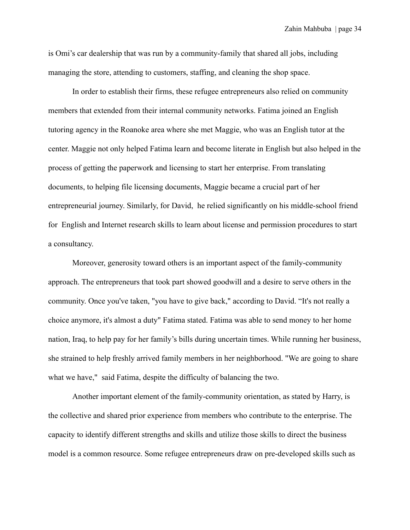is Omi's car dealership that was run by a community-family that shared all jobs, including managing the store, attending to customers, staffing, and cleaning the shop space.

In order to establish their firms, these refugee entrepreneurs also relied on community members that extended from their internal community networks. Fatima joined an English tutoring agency in the Roanoke area where she met Maggie, who was an English tutor at the center. Maggie not only helped Fatima learn and become literate in English but also helped in the process of getting the paperwork and licensing to start her enterprise. From translating documents, to helping file licensing documents, Maggie became a crucial part of her entrepreneurial journey. Similarly, for David, he relied significantly on his middle-school friend for English and Internet research skills to learn about license and permission procedures to start a consultancy.

Moreover, generosity toward others is an important aspect of the family-community approach. The entrepreneurs that took part showed goodwill and a desire to serve others in the community. Once you've taken, "you have to give back," according to David. "It's not really a choice anymore, it's almost a duty" Fatima stated. Fatima was able to send money to her home nation, Iraq, to help pay for her family's bills during uncertain times. While running her business, she strained to help freshly arrived family members in her neighborhood. "We are going to share what we have," said Fatima, despite the difficulty of balancing the two.

Another important element of the family-community orientation, as stated by Harry, is the collective and shared prior experience from members who contribute to the enterprise. The capacity to identify different strengths and skills and utilize those skills to direct the business model is a common resource. Some refugee entrepreneurs draw on pre-developed skills such as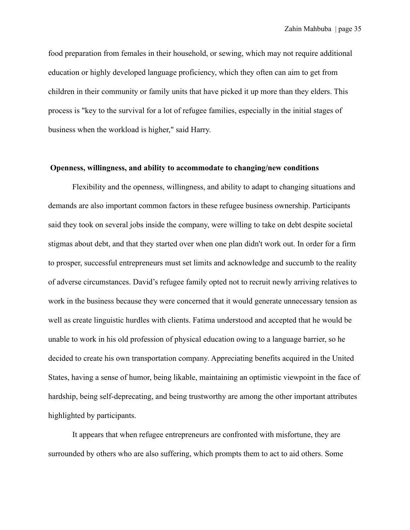food preparation from females in their household, or sewing, which may not require additional education or highly developed language proficiency, which they often can aim to get from children in their community or family units that have picked it up more than they elders. This process is "key to the survival for a lot of refugee families, especially in the initial stages of business when the workload is higher," said Harry.

#### **Openness, willingness, and ability to accommodate to changing/new conditions**

Flexibility and the openness, willingness, and ability to adapt to changing situations and demands are also important common factors in these refugee business ownership. Participants said they took on several jobs inside the company, were willing to take on debt despite societal stigmas about debt, and that they started over when one plan didn't work out. In order for a firm to prosper, successful entrepreneurs must set limits and acknowledge and succumb to the reality of adverse circumstances. David's refugee family opted not to recruit newly arriving relatives to work in the business because they were concerned that it would generate unnecessary tension as well as create linguistic hurdles with clients. Fatima understood and accepted that he would be unable to work in his old profession of physical education owing to a language barrier, so he decided to create his own transportation company. Appreciating benefits acquired in the United States, having a sense of humor, being likable, maintaining an optimistic viewpoint in the face of hardship, being self-deprecating, and being trustworthy are among the other important attributes highlighted by participants.

It appears that when refugee entrepreneurs are confronted with misfortune, they are surrounded by others who are also suffering, which prompts them to act to aid others. Some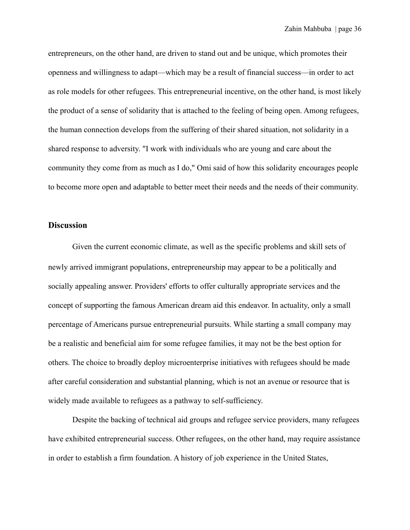entrepreneurs, on the other hand, are driven to stand out and be unique, which promotes their openness and willingness to adapt—which may be a result of financial success—in order to act as role models for other refugees. This entrepreneurial incentive, on the other hand, is most likely the product of a sense of solidarity that is attached to the feeling of being open. Among refugees, the human connection develops from the suffering of their shared situation, not solidarity in a shared response to adversity. "I work with individuals who are young and care about the community they come from as much as I do," Omi said of how this solidarity encourages people to become more open and adaptable to better meet their needs and the needs of their community.

## **Discussion**

Given the current economic climate, as well as the specific problems and skill sets of newly arrived immigrant populations, entrepreneurship may appear to be a politically and socially appealing answer. Providers' efforts to offer culturally appropriate services and the concept of supporting the famous American dream aid this endeavor. In actuality, only a small percentage of Americans pursue entrepreneurial pursuits. While starting a small company may be a realistic and beneficial aim for some refugee families, it may not be the best option for others. The choice to broadly deploy microenterprise initiatives with refugees should be made after careful consideration and substantial planning, which is not an avenue or resource that is widely made available to refugees as a pathway to self-sufficiency.

Despite the backing of technical aid groups and refugee service providers, many refugees have exhibited entrepreneurial success. Other refugees, on the other hand, may require assistance in order to establish a firm foundation. A history of job experience in the United States,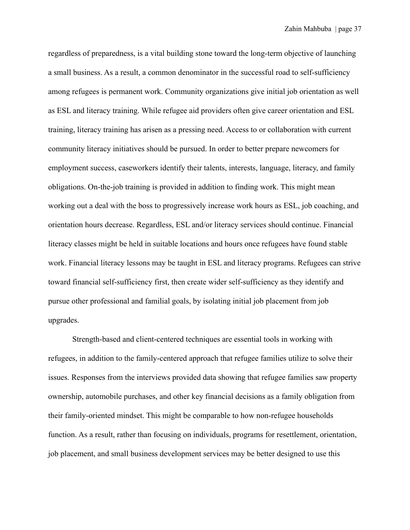regardless of preparedness, is a vital building stone toward the long-term objective of launching a small business. As a result, a common denominator in the successful road to self-sufficiency among refugees is permanent work. Community organizations give initial job orientation as well as ESL and literacy training. While refugee aid providers often give career orientation and ESL training, literacy training has arisen as a pressing need. Access to or collaboration with current community literacy initiatives should be pursued. In order to better prepare newcomers for employment success, caseworkers identify their talents, interests, language, literacy, and family obligations. On-the-job training is provided in addition to finding work. This might mean working out a deal with the boss to progressively increase work hours as ESL, job coaching, and orientation hours decrease. Regardless, ESL and/or literacy services should continue. Financial literacy classes might be held in suitable locations and hours once refugees have found stable work. Financial literacy lessons may be taught in ESL and literacy programs. Refugees can strive toward financial self-sufficiency first, then create wider self-sufficiency as they identify and pursue other professional and familial goals, by isolating initial job placement from job upgrades.

Strength-based and client-centered techniques are essential tools in working with refugees, in addition to the family-centered approach that refugee families utilize to solve their issues. Responses from the interviews provided data showing that refugee families saw property ownership, automobile purchases, and other key financial decisions as a family obligation from their family-oriented mindset. This might be comparable to how non-refugee households function. As a result, rather than focusing on individuals, programs for resettlement, orientation, job placement, and small business development services may be better designed to use this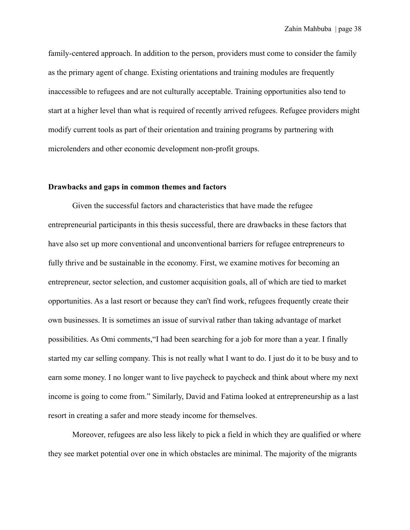family-centered approach. In addition to the person, providers must come to consider the family as the primary agent of change. Existing orientations and training modules are frequently inaccessible to refugees and are not culturally acceptable. Training opportunities also tend to start at a higher level than what is required of recently arrived refugees. Refugee providers might modify current tools as part of their orientation and training programs by partnering with microlenders and other economic development non-profit groups.

#### **Drawbacks and gaps in common themes and factors**

Given the successful factors and characteristics that have made the refugee entrepreneurial participants in this thesis successful, there are drawbacks in these factors that have also set up more conventional and unconventional barriers for refugee entrepreneurs to fully thrive and be sustainable in the economy. First, we examine motives for becoming an entrepreneur, sector selection, and customer acquisition goals, all of which are tied to market opportunities. As a last resort or because they can't find work, refugees frequently create their own businesses. It is sometimes an issue of survival rather than taking advantage of market possibilities. As Omi comments,"I had been searching for a job for more than a year. I finally started my car selling company. This is not really what I want to do. I just do it to be busy and to earn some money. I no longer want to live paycheck to paycheck and think about where my next income is going to come from." Similarly, David and Fatima looked at entrepreneurship as a last resort in creating a safer and more steady income for themselves.

Moreover, refugees are also less likely to pick a field in which they are qualified or where they see market potential over one in which obstacles are minimal. The majority of the migrants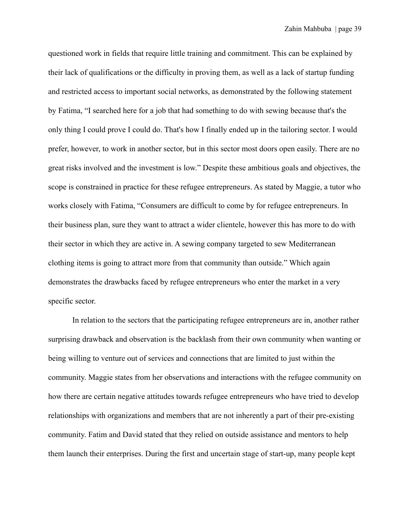questioned work in fields that require little training and commitment. This can be explained by their lack of qualifications or the difficulty in proving them, as well as a lack of startup funding and restricted access to important social networks, as demonstrated by the following statement by Fatima, "I searched here for a job that had something to do with sewing because that's the only thing I could prove I could do. That's how I finally ended up in the tailoring sector. I would prefer, however, to work in another sector, but in this sector most doors open easily. There are no great risks involved and the investment is low." Despite these ambitious goals and objectives, the scope is constrained in practice for these refugee entrepreneurs. As stated by Maggie, a tutor who works closely with Fatima, "Consumers are difficult to come by for refugee entrepreneurs. In their business plan, sure they want to attract a wider clientele, however this has more to do with their sector in which they are active in. A sewing company targeted to sew Mediterranean clothing items is going to attract more from that community than outside." Which again demonstrates the drawbacks faced by refugee entrepreneurs who enter the market in a very specific sector.

In relation to the sectors that the participating refugee entrepreneurs are in, another rather surprising drawback and observation is the backlash from their own community when wanting or being willing to venture out of services and connections that are limited to just within the community. Maggie states from her observations and interactions with the refugee community on how there are certain negative attitudes towards refugee entrepreneurs who have tried to develop relationships with organizations and members that are not inherently a part of their pre-existing community. Fatim and David stated that they relied on outside assistance and mentors to help them launch their enterprises. During the first and uncertain stage of start-up, many people kept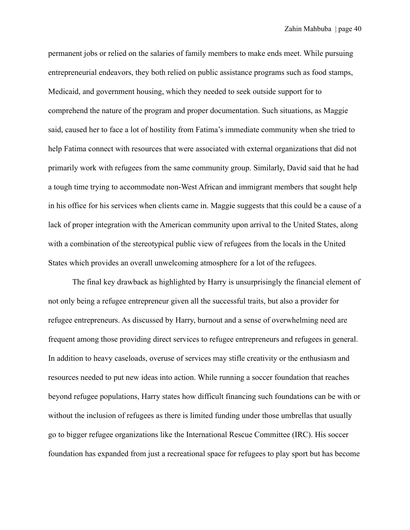permanent jobs or relied on the salaries of family members to make ends meet. While pursuing entrepreneurial endeavors, they both relied on public assistance programs such as food stamps, Medicaid, and government housing, which they needed to seek outside support for to comprehend the nature of the program and proper documentation. Such situations, as Maggie said, caused her to face a lot of hostility from Fatima's immediate community when she tried to help Fatima connect with resources that were associated with external organizations that did not primarily work with refugees from the same community group. Similarly, David said that he had a tough time trying to accommodate non-West African and immigrant members that sought help in his office for his services when clients came in. Maggie suggests that this could be a cause of a lack of proper integration with the American community upon arrival to the United States, along with a combination of the stereotypical public view of refugees from the locals in the United States which provides an overall unwelcoming atmosphere for a lot of the refugees.

The final key drawback as highlighted by Harry is unsurprisingly the financial element of not only being a refugee entrepreneur given all the successful traits, but also a provider for refugee entrepreneurs. As discussed by Harry, burnout and a sense of overwhelming need are frequent among those providing direct services to refugee entrepreneurs and refugees in general. In addition to heavy caseloads, overuse of services may stifle creativity or the enthusiasm and resources needed to put new ideas into action. While running a soccer foundation that reaches beyond refugee populations, Harry states how difficult financing such foundations can be with or without the inclusion of refugees as there is limited funding under those umbrellas that usually go to bigger refugee organizations like the International Rescue Committee (IRC). His soccer foundation has expanded from just a recreational space for refugees to play sport but has become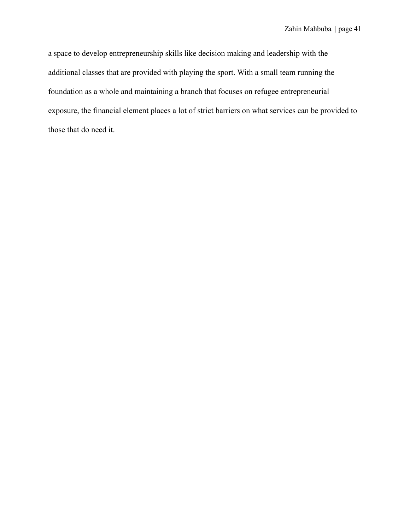a space to develop entrepreneurship skills like decision making and leadership with the additional classes that are provided with playing the sport. With a small team running the foundation as a whole and maintaining a branch that focuses on refugee entrepreneurial exposure, the financial element places a lot of strict barriers on what services can be provided to those that do need it.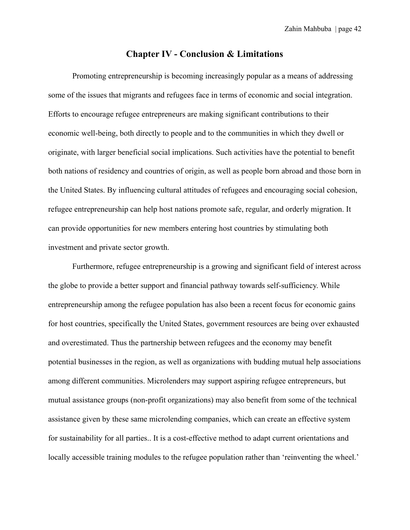## **Chapter IV - Conclusion & Limitations**

Promoting entrepreneurship is becoming increasingly popular as a means of addressing some of the issues that migrants and refugees face in terms of economic and social integration. Efforts to encourage refugee entrepreneurs are making significant contributions to their economic well-being, both directly to people and to the communities in which they dwell or originate, with larger beneficial social implications. Such activities have the potential to benefit both nations of residency and countries of origin, as well as people born abroad and those born in the United States. By influencing cultural attitudes of refugees and encouraging social cohesion, refugee entrepreneurship can help host nations promote safe, regular, and orderly migration. It can provide opportunities for new members entering host countries by stimulating both investment and private sector growth.

Furthermore, refugee entrepreneurship is a growing and significant field of interest across the globe to provide a better support and financial pathway towards self-sufficiency. While entrepreneurship among the refugee population has also been a recent focus for economic gains for host countries, specifically the United States, government resources are being over exhausted and overestimated. Thus the partnership between refugees and the economy may benefit potential businesses in the region, as well as organizations with budding mutual help associations among different communities. Microlenders may support aspiring refugee entrepreneurs, but mutual assistance groups (non-profit organizations) may also benefit from some of the technical assistance given by these same microlending companies, which can create an effective system for sustainability for all parties.. It is a cost-effective method to adapt current orientations and locally accessible training modules to the refugee population rather than 'reinventing the wheel.'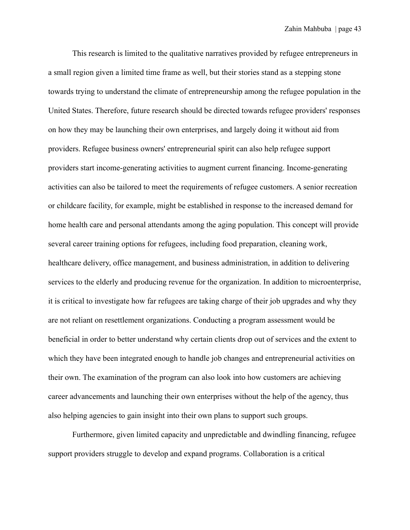This research is limited to the qualitative narratives provided by refugee entrepreneurs in a small region given a limited time frame as well, but their stories stand as a stepping stone towards trying to understand the climate of entrepreneurship among the refugee population in the United States. Therefore, future research should be directed towards refugee providers' responses on how they may be launching their own enterprises, and largely doing it without aid from providers. Refugee business owners' entrepreneurial spirit can also help refugee support providers start income-generating activities to augment current financing. Income-generating activities can also be tailored to meet the requirements of refugee customers. A senior recreation or childcare facility, for example, might be established in response to the increased demand for home health care and personal attendants among the aging population. This concept will provide several career training options for refugees, including food preparation, cleaning work, healthcare delivery, office management, and business administration, in addition to delivering services to the elderly and producing revenue for the organization. In addition to microenterprise, it is critical to investigate how far refugees are taking charge of their job upgrades and why they are not reliant on resettlement organizations. Conducting a program assessment would be beneficial in order to better understand why certain clients drop out of services and the extent to which they have been integrated enough to handle job changes and entrepreneurial activities on their own. The examination of the program can also look into how customers are achieving career advancements and launching their own enterprises without the help of the agency, thus also helping agencies to gain insight into their own plans to support such groups.

Furthermore, given limited capacity and unpredictable and dwindling financing, refugee support providers struggle to develop and expand programs. Collaboration is a critical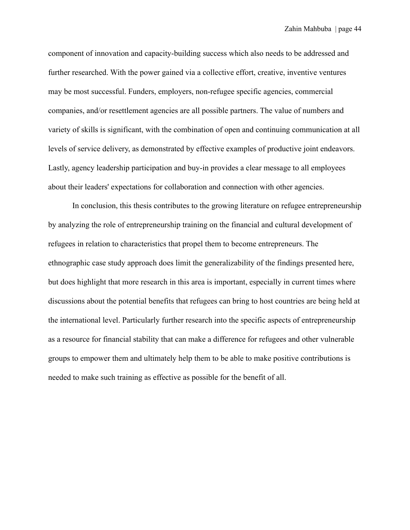component of innovation and capacity-building success which also needs to be addressed and further researched. With the power gained via a collective effort, creative, inventive ventures may be most successful. Funders, employers, non-refugee specific agencies, commercial companies, and/or resettlement agencies are all possible partners. The value of numbers and variety of skills is significant, with the combination of open and continuing communication at all levels of service delivery, as demonstrated by effective examples of productive joint endeavors. Lastly, agency leadership participation and buy-in provides a clear message to all employees about their leaders' expectations for collaboration and connection with other agencies.

In conclusion, this thesis contributes to the growing literature on refugee entrepreneurship by analyzing the role of entrepreneurship training on the financial and cultural development of refugees in relation to characteristics that propel them to become entrepreneurs. The ethnographic case study approach does limit the generalizability of the findings presented here, but does highlight that more research in this area is important, especially in current times where discussions about the potential benefits that refugees can bring to host countries are being held at the international level. Particularly further research into the specific aspects of entrepreneurship as a resource for financial stability that can make a difference for refugees and other vulnerable groups to empower them and ultimately help them to be able to make positive contributions is needed to make such training as effective as possible for the benefit of all.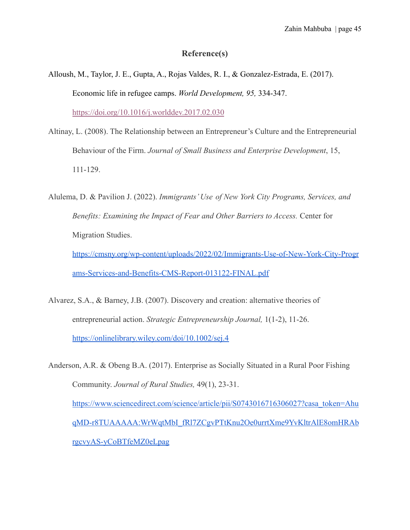## **Reference(s)**

- Alloush, M., Taylor, J. E., Gupta, A., Rojas Valdes, R. I., & Gonzalez-Estrada, E. (2017). Economic life in refugee camps. *World Development, 95,* 334-347. <https://doi.org/10.1016/j.worlddev.2017.02.030>
- Altinay, L. (2008). The Relationship between an Entrepreneur's Culture and the Entrepreneurial Behaviour of the Firm. *Journal of Small Business and Enterprise Development*, 15, 111-129.
- Alulema, D. & Pavilion J. (2022). *Immigrants' Use of New York City Programs, Services, and Benefits: Examining the Impact of Fear and Other Barriers to Access.* Center for Migration Studies.

[https://cmsny.org/wp-content/uploads/2022/02/Immigrants-Use-of-New-York-City-Progr](https://cmsny.org/wp-content/uploads/2022/02/Immigrants-Use-of-New-York-City-Programs-Services-and-Benefits-CMS-Report-013122-FINAL.pdf) [ams-Services-and-Benefits-CMS-Report-013122-FINAL.pdf](https://cmsny.org/wp-content/uploads/2022/02/Immigrants-Use-of-New-York-City-Programs-Services-and-Benefits-CMS-Report-013122-FINAL.pdf)

Alvarez, S.A., & Barney, J.B. (2007). Discovery and creation: alternative theories of entrepreneurial action. *Strategic Entrepreneurship Journal,* 1(1-2), 11-26. <https://onlinelibrary.wiley.com/doi/10.1002/sej.4>

Anderson, A.R. & Obeng B.A. (2017). Enterprise as Socially Situated in a Rural Poor Fishing Community. *Journal of Rural Studies,* 49(1), 23-31. [https://www.sciencedirect.com/science/article/pii/S0743016716306027?casa\\_token=Ahu](https://www.sciencedirect.com/science/article/pii/S0743016716306027?casa_token=AhuqMD-r8TUAAAAA:WrWqtMbI_fRl7ZCgvPTtKnu2Oe0urrtXme9YvKltrAlE8omHRAbrgcvyAS-yCoBTfeMZ0eLpag) [qMD-r8TUAAAAA:WrWqtMbI\\_fRl7ZCgvPTtKnu2Oe0urrtXme9YvKltrAlE8omHRAb](https://www.sciencedirect.com/science/article/pii/S0743016716306027?casa_token=AhuqMD-r8TUAAAAA:WrWqtMbI_fRl7ZCgvPTtKnu2Oe0urrtXme9YvKltrAlE8omHRAbrgcvyAS-yCoBTfeMZ0eLpag) [rgcvyAS-yCoBTfeMZ0eLpag](https://www.sciencedirect.com/science/article/pii/S0743016716306027?casa_token=AhuqMD-r8TUAAAAA:WrWqtMbI_fRl7ZCgvPTtKnu2Oe0urrtXme9YvKltrAlE8omHRAbrgcvyAS-yCoBTfeMZ0eLpag)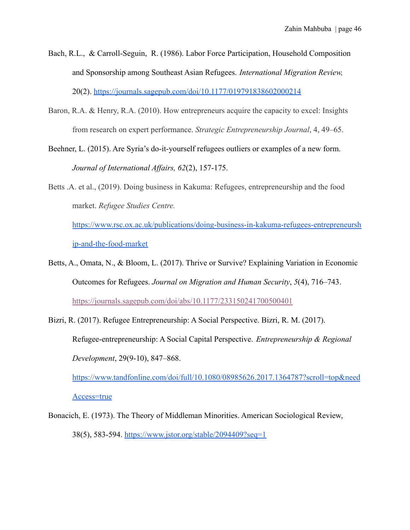- Bach, R.L., & Carroll-Seguin, R. (1986). Labor Force Participation, Household Composition and Sponsorship among Southeast Asian Refugees. *International Migration Review,* 20(2). <https://journals.sagepub.com/doi/10.1177/019791838602000214>
- Baron, R.A. & Henry, R.A. (2010). How entrepreneurs acquire the capacity to excel: Insights from research on expert performance. *Strategic Entrepreneurship Journal*, 4, 49–65.
- Beehner, L. (2015). Are Syria's do-it-yourself refugees outliers or examples of a new form. *Journal of International Affairs, 62*(2), 157-175.
- Betts .A. et al., (2019). Doing business in Kakuma: Refugees, entrepreneurship and the food market. *Refugee Studies Centre.*

[https://www.rsc.ox.ac.uk/publications/doing-business-in-kakuma-refugees-entrepreneursh](https://www.rsc.ox.ac.uk/publications/doing-business-in-kakuma-refugees-entrepreneurship-and-the-food-market) [ip-and-the-food-market](https://www.rsc.ox.ac.uk/publications/doing-business-in-kakuma-refugees-entrepreneurship-and-the-food-market)

- Betts, A., Omata, N., & Bloom, L. (2017). Thrive or Survive? Explaining Variation in Economic Outcomes for Refugees. *Journal on Migration and Human Security*, *5*(4), 716–743. <https://journals.sagepub.com/doi/abs/10.1177/233150241700500401>
- Bizri, R. (2017). Refugee Entrepreneurship: A Social Perspective. Bizri, R. M. (2017). Refugee-entrepreneurship: A Social Capital Perspective. *Entrepreneurship & Regional Development*, 29(9-10), 847–868.

[https://www.tandfonline.com/doi/full/10.1080/08985626.2017.1364787?scroll=top&need](https://www.tandfonline.com/doi/full/10.1080/08985626.2017.1364787?scroll=top&needAccess=true)

[Access=true](https://www.tandfonline.com/doi/full/10.1080/08985626.2017.1364787?scroll=top&needAccess=true)

Bonacich, E. (1973). The Theory of Middleman Minorities. American Sociological Review, 38(5), 583-594. <https://www.jstor.org/stable/2094409?seq=1>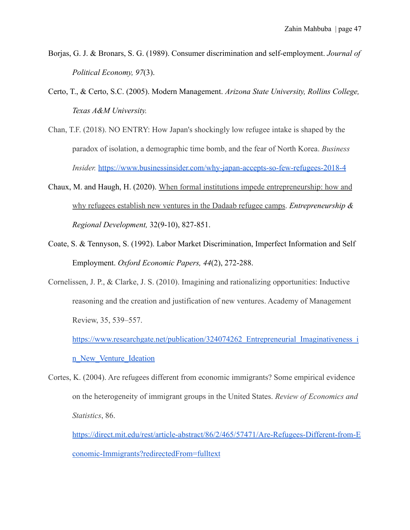- Borjas, G. J. & Bronars, S. G. (1989). Consumer discrimination and self-employment. *Journal of Political Economy, 97*(3).
- Certo, T., & Certo, S.C. (2005). Modern Management. *Arizona State University, Rollins College, Texas A&M University.*
- Chan, T.F. (2018). NO ENTRY: How Japan's shockingly low refugee intake is shaped by the paradox of isolation, a demographic time bomb, and the fear of North Korea. *Business Insider.* <https://www.businessinsider.com/why-japan-accepts-so-few-refugees-2018-4>
- Chaux, M. and Haugh, H. (2020). When formal institutions [impede entrepreneurship: how and](https://www.tandfonline.com/doi/abs/10.1080/08985626.2020.1789752) [why refugees establish new ventures in the Dadaab refugee camps](https://www.tandfonline.com/doi/abs/10.1080/08985626.2020.1789752). *Entrepreneurship & Regional Development,* 32(9-10), 827-851.
- Coate, S. & Tennyson, S. (1992). Labor Market Discrimination, Imperfect Information and Self Employment. *Oxford Economic Papers, 44*(2), 272-288.
- Cornelissen, J. P., & Clarke, J. S. (2010). Imagining and rationalizing opportunities: Inductive reasoning and the creation and justification of new ventures. Academy of Management Review, 35, 539–557.

https://www.researchgate.net/publication/324074262 Entrepreneurial Imaginativeness i [n\\_New\\_Venture\\_Ideation](https://www.researchgate.net/publication/324074262_Entrepreneurial_Imaginativeness_in_New_Venture_Ideation)

Cortes, K. (2004). Are refugees different from economic immigrants? Some empirical evidence on the heterogeneity of immigrant groups in the United States. *Review of Economics and Statistics*, 86.

[https://direct.mit.edu/rest/article-abstract/86/2/465/57471/Are-Refugees-Different-from-E](https://direct.mit.edu/rest/article-abstract/86/2/465/57471/Are-Refugees-Different-from-Economic-Immigrants?redirectedFrom=fulltext) [conomic-Immigrants?redirectedFrom=fulltext](https://direct.mit.edu/rest/article-abstract/86/2/465/57471/Are-Refugees-Different-from-Economic-Immigrants?redirectedFrom=fulltext)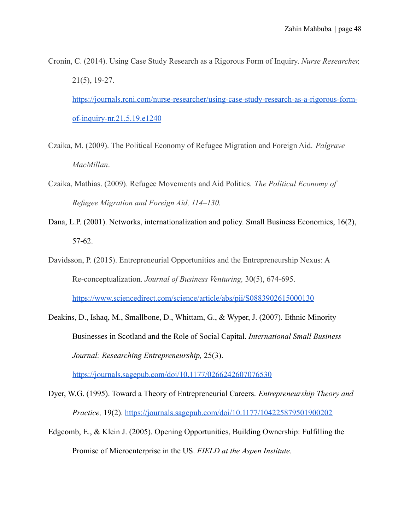Cronin, C. (2014). Using Case Study Research as a Rigorous Form of Inquiry. *Nurse Researcher,* 21(5), 19-27. [https://journals.rcni.com/nurse-researcher/using-case-study-research-as-a-rigorous-form-](https://journals.rcni.com/nurse-researcher/using-case-study-research-as-a-rigorous-form-of-inquiry-nr.21.5.19.e1240)

[of-inquiry-nr.21.5.19.e1240](https://journals.rcni.com/nurse-researcher/using-case-study-research-as-a-rigorous-form-of-inquiry-nr.21.5.19.e1240)

- Czaika, M. (2009). The Political Economy of Refugee Migration and Foreign Aid. *Palgrave MacMillan*.
- Czaika, Mathias. (2009). Refugee Movements and Aid Politics. *The Political Economy of Refugee Migration and Foreign Aid, 114–130.*
- Dana, L.P. (2001). Networks, internationalization and policy. Small Business Economics, 16(2), 57-62.
- Davidsson, P. (2015). Entrepreneurial Opportunities and the Entrepreneurship Nexus: A Re-conceptualization. *Journal of Business Venturing,* 30(5), 674-695. <https://www.sciencedirect.com/science/article/abs/pii/S0883902615000130>
- Deakins, D., Ishaq, M., Smallbone, D., Whittam, G., & Wyper, J. (2007). Ethnic Minority Businesses in Scotland and the Role of Social Capital. *International Small Business Journal: Researching Entrepreneurship,* 25(3).

<https://journals.sagepub.com/doi/10.1177/0266242607076530>

- Dyer, W.G. (1995). Toward a Theory of Entrepreneurial Careers. *Entrepreneurship Theory and Practice,* 19(2). <https://journals.sagepub.com/doi/10.1177/104225879501900202>
- Edgcomb, E., & Klein J. (2005). Opening Opportunities, Building Ownership: Fulfilling the Promise of Microenterprise in the US. *FIELD at the Aspen Institute.*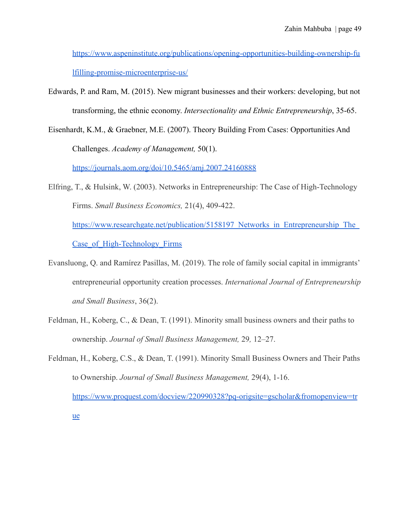[https://www.aspeninstitute.org/publications/opening-opportunities-building-ownership-fu](https://www.aspeninstitute.org/publications/opening-opportunities-building-ownership-fulfilling-promise-microenterprise-us/) [lfilling-promise-microenterprise-us/](https://www.aspeninstitute.org/publications/opening-opportunities-building-ownership-fulfilling-promise-microenterprise-us/)

- Edwards, P. and Ram, M. (2015). New migrant businesses and their workers: developing, but not transforming, the ethnic economy. *Intersectionality and Ethnic Entrepreneurship*, 35-65.
- Eisenhardt, K.M., & Graebner, M.E. (2007). Theory Building From Cases: Opportunities And Challenges. *Academy of Management,* 50(1).

<https://journals.aom.org/doi/10.5465/amj.2007.24160888>

- Elfring, T., & Hulsink, W. (2003). Networks in Entrepreneurship: The Case of High-Technology Firms. *Small Business Economics,* 21(4), 409-422. https://www.researchgate.net/publication/5158197 Networks in Entrepreneurship The Case of High-Technology Firms
- Evansluong, Q. and Ramírez Pasillas, M. (2019). The role of family social capital in immigrants' entrepreneurial opportunity creation processes. *International Journal of Entrepreneurship and Small Business*, 36(2).
- Feldman, H., Koberg, C., & Dean, T. (1991). Minority small business owners and their paths to ownership. *Journal of Small Business Management,* 29*,* 12–27.
- Feldman, H., Koberg, C.S., & Dean, T. (1991). Minority Small Business Owners and Their Paths to Ownership. *Journal of Small Business Management,* 29(4), 1-16. [https://www.proquest.com/docview/220990328?pq-origsite=gscholar&fromopenview=tr](https://www.proquest.com/docview/220990328?pq-origsite=gscholar&fromopenview=true)

[ue](https://www.proquest.com/docview/220990328?pq-origsite=gscholar&fromopenview=true)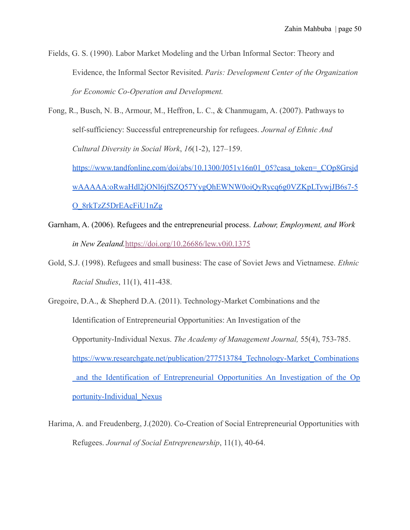Fields, G. S. (1990). Labor Market Modeling and the Urban Informal Sector: Theory and Evidence, the Informal Sector Revisited. *Paris: Development Center of the Organization for Economic Co-Operation and Development.*

Fong, R., Busch, N. B., Armour, M., Heffron, L. C., & Chanmugam, A. (2007). Pathways to self-sufficiency: Successful entrepreneurship for refugees. *Journal of Ethnic And Cultural Diversity in Social Work*, *16*(1-2), 127–159. [https://www.tandfonline.com/doi/abs/10.1300/J051v16n01\\_05?casa\\_token=\\_COp8Grsjd](https://www.tandfonline.com/doi/abs/10.1300/J051v16n01_05?casa_token=_COp8GrsjdwAAAAA:oRwaHdl2jONl6jfSZQ57YygQhEWNW0oiQyRycq6g0VZKpLTywjJB6s7-5O_8rkTzZ5DrEAcFiU1nZg)

[wAAAAA:oRwaHdl2jONl6jfSZQ57YygQhEWNW0oiQyRycq6g0VZKpLTywjJB6s7-5](https://www.tandfonline.com/doi/abs/10.1300/J051v16n01_05?casa_token=_COp8GrsjdwAAAAA:oRwaHdl2jONl6jfSZQ57YygQhEWNW0oiQyRycq6g0VZKpLTywjJB6s7-5O_8rkTzZ5DrEAcFiU1nZg) [O\\_8rkTzZ5DrEAcFiU1nZg](https://www.tandfonline.com/doi/abs/10.1300/J051v16n01_05?casa_token=_COp8GrsjdwAAAAA:oRwaHdl2jONl6jfSZQ57YygQhEWNW0oiQyRycq6g0VZKpLTywjJB6s7-5O_8rkTzZ5DrEAcFiU1nZg)

- Garnham, A. (2006). Refugees and the entrepreneurial process. *Labour, Employment, and Work in New Zealand.*<https://doi.org/10.26686/lew.v0i0.1375>
- Gold, S.J. (1998). Refugees and small business: The case of Soviet Jews and Vietnamese. *Ethnic Racial Studies*, 11(1), 411-438.

Gregoire, D.A., & Shepherd D.A. (2011). Technology-Market Combinations and the Identification of Entrepreneurial Opportunities: An Investigation of the Opportunity-Individual Nexus. *The Academy of Management Journal,* 55(4), 753-785. https://www.researchgate.net/publication/277513784 Technology-Market Combinations [\\_and\\_the\\_Identification\\_of\\_Entrepreneurial\\_Opportunities\\_An\\_Investigation\\_of\\_the\\_Op](https://www.researchgate.net/publication/277513784_Technology-Market_Combinations_and_the_Identification_of_Entrepreneurial_Opportunities_An_Investigation_of_the_Opportunity-Individual_Nexus) [portunity-Individual\\_Nexus](https://www.researchgate.net/publication/277513784_Technology-Market_Combinations_and_the_Identification_of_Entrepreneurial_Opportunities_An_Investigation_of_the_Opportunity-Individual_Nexus)

Harima, A. and Freudenberg, J.(2020). Co-Creation of Social Entrepreneurial Opportunities with Refugees. *Journal of Social Entrepreneurship*, 11(1), 40-64.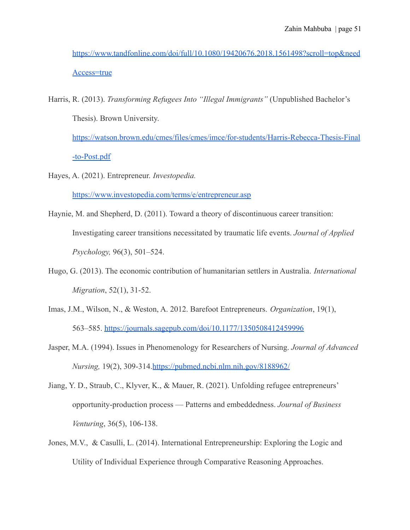[https://www.tandfonline.com/doi/full/10.1080/19420676.2018.1561498?scroll=top&need](https://www.tandfonline.com/doi/full/10.1080/19420676.2018.1561498?scroll=top&needAccess=true) [Access=true](https://www.tandfonline.com/doi/full/10.1080/19420676.2018.1561498?scroll=top&needAccess=true)

Harris, R. (2013). *Transforming Refugees Into "Illegal Immigrants"* (Unpublished Bachelor's Thesis). Brown University.

[https://watson.brown.edu/cmes/files/cmes/imce/for-students/Harris-Rebecca-Thesis-Final](https://watson.brown.edu/cmes/files/cmes/imce/for-students/Harris-Rebecca-Thesis-Final-to-Post.pdf) [-to-Post.pdf](https://watson.brown.edu/cmes/files/cmes/imce/for-students/Harris-Rebecca-Thesis-Final-to-Post.pdf)

Hayes, A. (2021). Entrepreneur. *Investopedia.*

<https://www.investopedia.com/terms/e/entrepreneur.asp>

- Haynie, M. and Shepherd, D. (2011). Toward a theory of discontinuous career transition: Investigating career transitions necessitated by traumatic life events. *Journal of Applied Psychology,* 96(3), 501–524.
- Hugo, G. (2013). The economic contribution of humanitarian settlers in Australia. *International Migration*, 52(1), 31-52.
- Imas, J.M., Wilson, N., & Weston, A. 2012. Barefoot Entrepreneurs. *Organization*, 19(1), 563–585. <https://journals.sagepub.com/doi/10.1177/1350508412459996>
- Jasper, M.A. (1994). Issues in Phenomenology for Researchers of Nursing. *Journal of Advanced Nursing,* 19(2), 309-314.<https://pubmed.ncbi.nlm.nih.gov/8188962/>
- Jiang, Y. D., Straub, C., Klyver, K., & Mauer, R. (2021). Unfolding refugee entrepreneurs' opportunity-production process — Patterns and embeddedness. *Journal of Business Venturing*, 36(5), 106-138.
- Jones, M.V., & Casulli, L. (2014). International Entrepreneurship: Exploring the Logic and Utility of Individual Experience through Comparative Reasoning Approaches.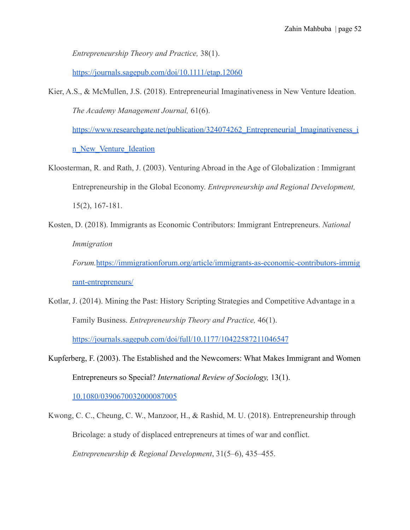*Entrepreneurship Theory and Practice,* 38(1).

<https://journals.sagepub.com/doi/10.1111/etap.12060>

Kier, A.S., & McMullen, J.S. (2018). Entrepreneurial Imaginativeness in New Venture Ideation. *The Academy Management Journal,* 61(6).

https://www.researchgate.net/publication/324074262 Entrepreneurial Imaginativeness i

[n\\_New\\_Venture\\_Ideation](https://www.researchgate.net/publication/324074262_Entrepreneurial_Imaginativeness_in_New_Venture_Ideation)

- Kloosterman, R. and Rath, J. (2003). Venturing Abroad in the Age of Globalization : Immigrant Entrepreneurship in the Global Economy. *Entrepreneurship and Regional Development,* 15(2), 167-181.
- Kosten, D. (2018). Immigrants as Economic Contributors: Immigrant Entrepreneurs. *National Immigration*

*Forum.*[https://immigrationforum.org/article/immigrants-as-economic-contributors-immig](https://immigrationforum.org/article/immigrants-as-economic-contributors-immigrant-entrepreneurs/) [rant-entrepreneurs/](https://immigrationforum.org/article/immigrants-as-economic-contributors-immigrant-entrepreneurs/)

- Kotlar, J. (2014). Mining the Past: History Scripting Strategies and Competitive Advantage in a Family Business. *Entrepreneurship Theory and Practice,* 46(1). <https://journals.sagepub.com/doi/full/10.1177/10422587211046547>
- Kupferberg, F. (2003). The Established and the Newcomers: What Makes Immigrant and Women Entrepreneurs so Special? *International Review of Sociology,* 13(1).

[10.1080/0390670032000087005](http://dx.doi.org/10.1080/0390670032000087005)

Kwong, C. C., Cheung, C. W., Manzoor, H., & Rashid, M. U. (2018). Entrepreneurship through Bricolage: a study of displaced entrepreneurs at times of war and conflict. *Entrepreneurship & Regional Development*, 31(5–6), 435–455.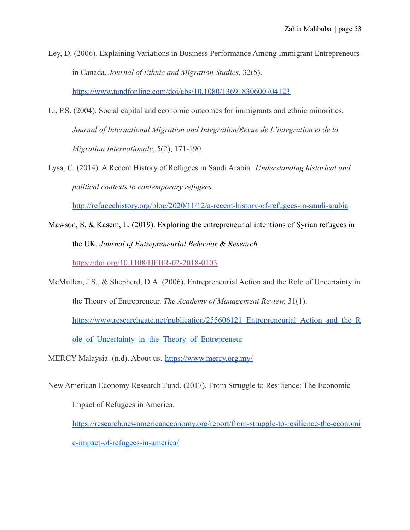Ley, D. (2006). Explaining Variations in Business Performance Among Immigrant Entrepreneurs in Canada. *Journal of Ethnic and Migration Studies,* 32(5).

<https://www.tandfonline.com/doi/abs/10.1080/13691830600704123>

- Li, P.S. (2004). Social capital and economic outcomes for immigrants and ethnic minorities. *Journal of International Migration and Integration/Revue de L'integration et de la Migration Internationale*, 5(2), 171-190.
- Lysa, C. (2014). A Recent History of Refugees in Saudi Arabia. *Understanding historical and political contexts to contemporary refugees.*

<http://refugeehistory.org/blog/2020/11/12/a-recent-history-of-refugees-in-saudi-arabia>

- Mawson, S. & Kasem, L. (2019). Exploring the entrepreneurial intentions of Syrian refugees in the UK. *Journal of Entrepreneurial Behavior & Research.* <https://doi.org/10.1108/IJEBR-02-2018-0103>
- McMullen, J.S., & Shepherd, D.A. (2006). Entrepreneurial Action and the Role of Uncertainty in the Theory of Entrepreneur. *The Academy of Management Review,* 31(1). https://www.researchgate.net/publication/255606121 Entrepreneurial Action and the R ole of Uncertainty in the Theory of Entrepreneur
- MERCY Malaysia. (n.d). About us. <https://www.mercy.org.my/>
- New American Economy Research Fund. (2017). From Struggle to Resilience: The Economic Impact of Refugees in America.

[https://research.newamericaneconomy.org/report/from-struggle-to-resilience-the-economi](https://research.newamericaneconomy.org/report/from-struggle-to-resilience-the-economic-impact-of-refugees-in-america/) [c-impact-of-refugees-in-america/](https://research.newamericaneconomy.org/report/from-struggle-to-resilience-the-economic-impact-of-refugees-in-america/)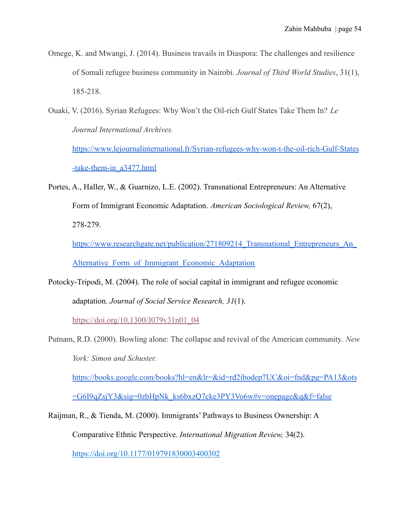- Omege, K. and Mwangi, J. (2014). Business travails in Diaspora: The challenges and resilience of Somali refugee business community in Nairobi. *Journal of Third World Studies*, 31(1), 185-218.
- Ouaki, V. (2016). Syrian Refugees: Why Won't the Oil-rich Gulf States Take Them In? *Le Journal International Archives.*

[https://www.lejournalinternational.fr/Syrian-refugees-why-won-t-the-oil-rich-Gulf-States](https://www.lejournalinternational.fr/Syrian-refugees-why-won-t-the-oil-rich-Gulf-States-take-them-in_a3477.html) [-take-them-in\\_a3477.html](https://www.lejournalinternational.fr/Syrian-refugees-why-won-t-the-oil-rich-Gulf-States-take-them-in_a3477.html)

Portes, A., Haller, W., & Guarnizo, L.E. (2002). Transnational Entrepreneurs: An Alternative Form of Immigrant Economic Adaptation. *American Sociological Review,* 67(2), 278-279.

https://www.researchgate.net/publication/271809214 Transnational Entrepreneurs An Alternative Form of Immigrant Economic Adaptation

Potocky-Tripodi, M. (2004). The role of social capital in immigrant and refugee economic adaptation. *Journal of Social Service Research, 31*(1).

[https://doi.org/10.1300/J079v31n01\\_04](https://doi.org/10.1300/J079v31n01_04)

Putnam, R.D. (2000). Bowling alone: The collapse and revival of the American community. *New York: Simon and Schuster.*

[https://books.google.com/books?hl=en&lr=&id=rd2ibodep7UC&oi=fnd&pg=PA13&ots](https://books.google.com/books?hl=en&lr=&id=rd2ibodep7UC&oi=fnd&pg=PA13&ots=G6I9qZsjY3&sig=0zbHpNk_ks6bxzQ7cke3PY3Vo6w#v=onepage&q&f=false) [=G6I9qZsjY3&sig=0zbHpNk\\_ks6bxzQ7cke3PY3Vo6w#v=onepage&q&f=false](https://books.google.com/books?hl=en&lr=&id=rd2ibodep7UC&oi=fnd&pg=PA13&ots=G6I9qZsjY3&sig=0zbHpNk_ks6bxzQ7cke3PY3Vo6w#v=onepage&q&f=false)

Raijman, R., & Tienda, M. (2000). Immigrants' Pathways to Business Ownership: A Comparative Ethnic Perspective. *International Migration Review,* 34(2). [https://doi.org/10.1177/019791830003400302](https://doi.org/10.1177%2F019791830003400302)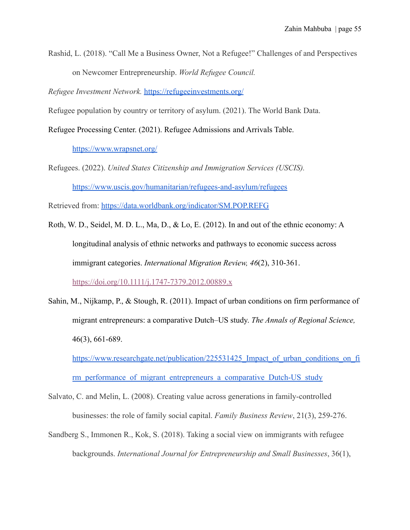Rashid, L. (2018). "Call Me a Business Owner, Not a Refugee!" Challenges of and Perspectives on Newcomer Entrepreneurship. *World Refugee Council.*

*Refugee Investment Network.* <https://refugeeinvestments.org/>

Refugee population by country or territory of asylum. (2021). The World Bank Data.

Refugee Processing Center. (2021). Refugee Admissions and Arrivals Table.

<https://www.wrapsnet.org/>

Refugees. (2022). *United States Citizenship and Immigration Services (USCIS).* <https://www.uscis.gov/humanitarian/refugees-and-asylum/refugees>

Retrieved from: <https://data.worldbank.org/indicator/SM.POP.REFG>

- Roth, W. D., Seidel, M. D. L., Ma, D., & Lo, E. (2012). In and out of the ethnic economy: A longitudinal analysis of ethnic networks and pathways to economic success across immigrant categories. *International Migration Review, 46*(2), 310-361. <https://doi.org/10.1111/j.1747-7379.2012.00889.x>
- Sahin, M., Nijkamp, P., & Stough, R. (2011). Impact of urban conditions on firm performance of migrant entrepreneurs: a comparative Dutch–US study. *The Annals of Regional Science,* 46(3), 661-689.

https://www.researchgate.net/publication/225531425 Impact of urban conditions on fi rm performance of migrant entrepreneurs a comparative Dutch-US study

- Salvato, C. and Melin, L. (2008). Creating value across generations in family-controlled businesses: the role of family social capital. *Family Business Review*, 21(3), 259-276.
- Sandberg S., Immonen R., Kok, S. (2018). Taking a social view on immigrants with refugee backgrounds. *International Journal for Entrepreneurship and Small Businesses*, 36(1),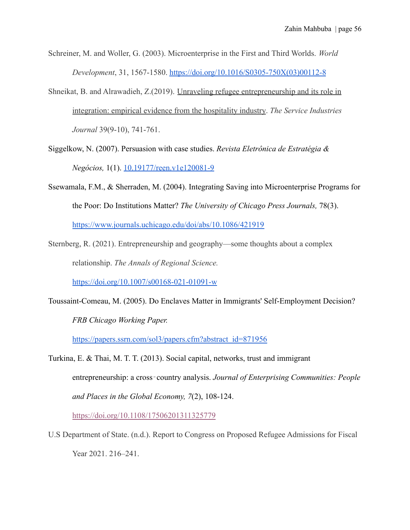- Schreiner, M. and Woller, G. (2003). Microenterprise in the First and Third Worlds. *World Development*, 31, 1567-1580. [https://doi.org/10.1016/S0305-750X\(03\)00112-8](https://doi.org/10.1016/S0305-750X(03)00112-8)
- Shneikat, B. and Alrawadieh, Z.(2019). Unraveling [refugee entrepreneurship and its role in](https://www.tandfonline.com/doi/abs/10.1080/02642069.2019.1571046) [integration: empirical evidence from the hospitality industry](https://www.tandfonline.com/doi/abs/10.1080/02642069.2019.1571046). *The Service Industries Journal* 39(9-10), 741-761.
- Siggelkow, N. (2007). Persuasion with case studies. *Revista Eletrônica de Estratégia & Negócios,* 1(1). [10.19177/reen.v1e120081-9](http://dx.doi.org/10.19177/reen.v1e120081-9)
- Ssewamala, F.M., & Sherraden, M. (2004). Integrating Saving into Microenterprise Programs for the Poor: Do Institutions Matter? *The University of Chicago Press Journals,* 78(3). <https://www.journals.uchicago.edu/doi/abs/10.1086/421919>
- Sternberg, R. (2021). Entrepreneurship and geography—some thoughts about a complex relationship. *The Annals of Regional Science.*

<https://doi.org/10.1007/s00168-021-01091-w>

Toussaint-Comeau, M. (2005). Do Enclaves Matter in Immigrants' Self-Employment Decision? *FRB Chicago Working Paper.*

[https://papers.ssrn.com/sol3/papers.cfm?abstract\\_id=871956](https://papers.ssrn.com/sol3/papers.cfm?abstract_id=871956)

Turkina, E. & Thai, M. T. T. (2013). Social capital, networks, trust and immigrant entrepreneurship: a cross‐country analysis. *Journal of Enterprising Communities: People and Places in the Global Economy, 7*(2), 108-124.

<https://doi.org/10.1108/17506201311325779>

U.S Department of State. (n.d.). Report to Congress on Proposed Refugee Admissions for Fiscal Year 2021. 216–241.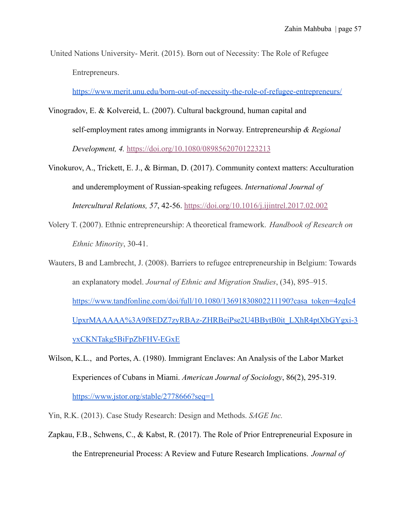United Nations University- Merit. (2015). Born out of Necessity: The Role of Refugee Entrepreneurs.

<https://www.merit.unu.edu/born-out-of-necessity-the-role-of-refugee-entrepreneurs/>

- Vinogradov, E. & Kolvereid, L. (2007). Cultural background, human capital and self-employment rates among immigrants in Norway. Entrepreneurship *& Regional Development, 4.* <https://doi.org/10.1080/08985620701223213>
- Vinokurov, A., Trickett, E. J., & Birman, D. (2017). Community context matters: Acculturation and underemployment of Russian-speaking refugees. *International Journal of Intercultural Relations, 57*, 42-56. <https://doi.org/10.1016/j.ijintrel.2017.02.002>
- Volery T. (2007). Ethnic entrepreneurship: A theoretical framework. *Handbook of Research on Ethnic Minority*, 30-41.
- Wauters, B and Lambrecht, J. (2008). Barriers to refugee entrepreneurship in Belgium: Towards an explanatory model. *Journal of Ethnic and Migration Studies*, (34), 895–915. [https://www.tandfonline.com/doi/full/10.1080/13691830802211190?casa\\_token=4zqIc4](https://www.tandfonline.com/doi/full/10.1080/13691830802211190?casa_token=4zqIc4UpxrMAAAAA%3A9f8EDZ7zyRBAz-ZHRBeiPse2U4BBytB0it_LXhR4ptXbGYgxi-3yxCKNTakg5BiFpZbFHV-EGxE) [UpxrMAAAAA%3A9f8EDZ7zyRBAz-ZHRBeiPse2U4BBytB0it\\_LXhR4ptXbGYgxi-3](https://www.tandfonline.com/doi/full/10.1080/13691830802211190?casa_token=4zqIc4UpxrMAAAAA%3A9f8EDZ7zyRBAz-ZHRBeiPse2U4BBytB0it_LXhR4ptXbGYgxi-3yxCKNTakg5BiFpZbFHV-EGxE) [yxCKNTakg5BiFpZbFHV-EGxE](https://www.tandfonline.com/doi/full/10.1080/13691830802211190?casa_token=4zqIc4UpxrMAAAAA%3A9f8EDZ7zyRBAz-ZHRBeiPse2U4BBytB0it_LXhR4ptXbGYgxi-3yxCKNTakg5BiFpZbFHV-EGxE)
- Wilson, K.L., and Portes, A. (1980). Immigrant Enclaves: An Analysis of the Labor Market Experiences of Cubans in Miami. *American Journal of Sociology*, 86(2), 295-319. <https://www.jstor.org/stable/2778666?seq=1>

Yin, R.K. (2013). Case Study Research: Design and Methods. *SAGE Inc.*

Zapkau, F.B., Schwens, C., & Kabst, R. (2017). The Role of Prior Entrepreneurial Exposure in the Entrepreneurial Process: A Review and Future Research Implications. *Journal of*